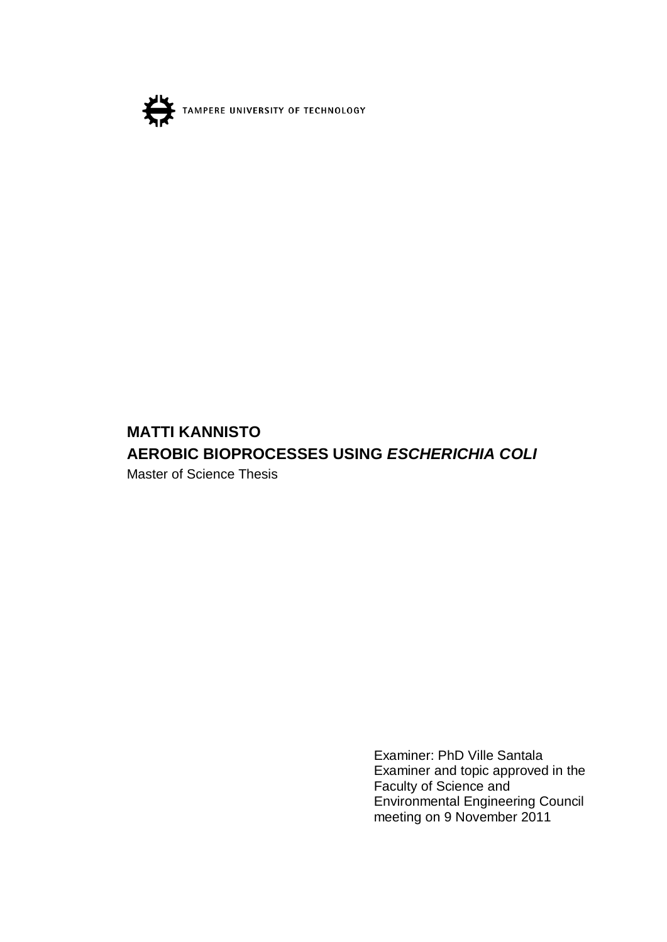

# **MATTI KANNISTO AEROBIC BIOPROCESSES USING** *ESCHERICHIA COLI*

Master of Science Thesis

Examiner: PhD Ville Santala Examiner and topic approved in the Faculty of Science and Environmental Engineering Council meeting on 9 November 2011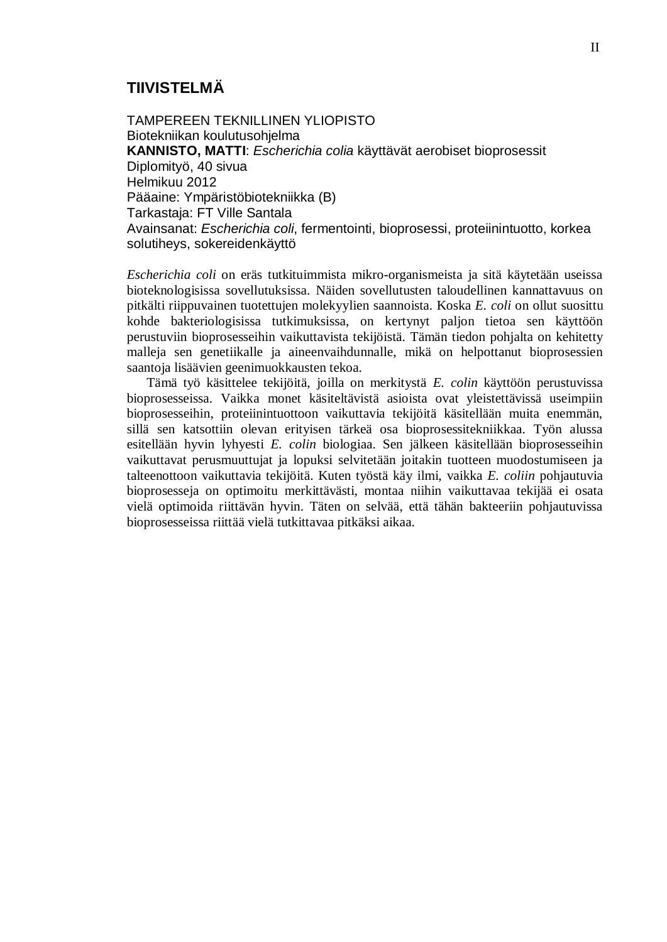### **TIIVISTELMÄ**

TAMPEREEN TEKNILLINEN YLIOPISTO Biotekniikan koulutusohjelma **KANNISTO, MATTI**: *Escherichia colia* käyttävät aerobiset bioprosessit Diplomityö, 40 sivua Helmikuu 2012 Pääaine: Ympäristöbiotekniikka (B) Tarkastaja: FT Ville Santala Avainsanat: *Escherichia coli*, fermentointi, bioprosessi, proteiinintuotto, korkea solutiheys, sokereidenkäyttö

*Escherichia coli* on eräs tutkituimmista mikro-organismeista ja sitä käytetään useissa bioteknologisissa sovellutuksissa. Näiden sovellutusten taloudellinen kannattavuus on pitkälti riippuvainen tuotettujen molekyylien saannoista. Koska *E. coli* on ollut suosittu kohde bakteriologisissa tutkimuksissa, on kertynyt paljon tietoa sen käyttöön perustuviin bioprosesseihin vaikuttavista tekijöistä. Tämän tiedon pohjalta on kehitetty malleja sen genetiikalle ja aineenvaihdunnalle, mikä on helpottanut bioprosessien saantoja lisäävien geenimuokkausten tekoa.

Tämä työ käsittelee tekijöitä, joilla on merkitystä *E. colin* käyttöön perustuvissa bioprosesseissa. Vaikka monet käsiteltävistä asioista ovat yleistettävissä useimpiin bioprosesseihin, proteiinintuottoon vaikuttavia tekijöitä käsitellään muita enemmän, sillä sen katsottiin olevan erityisen tärkeä osa bioprosessitekniikkaa. Työn alussa esitellään hyvin lyhyesti *E. colin* biologiaa. Sen jälkeen käsitellään bioprosesseihin vaikuttavat perusmuuttujat ja lopuksi selvitetään joitakin tuotteen muodostumiseen ja talteenottoon vaikuttavia tekijöitä. Kuten työstä käy ilmi, vaikka *E. coliin* pohjautuvia bioprosesseja on optimoitu merkittävästi, montaa niihin vaikuttavaa tekijää ei osata vielä optimoida riittävän hyvin. Täten on selvää, että tähän bakteeriin pohjautuvissa bioprosesseissa riittää vielä tutkittavaa pitkäksi aikaa.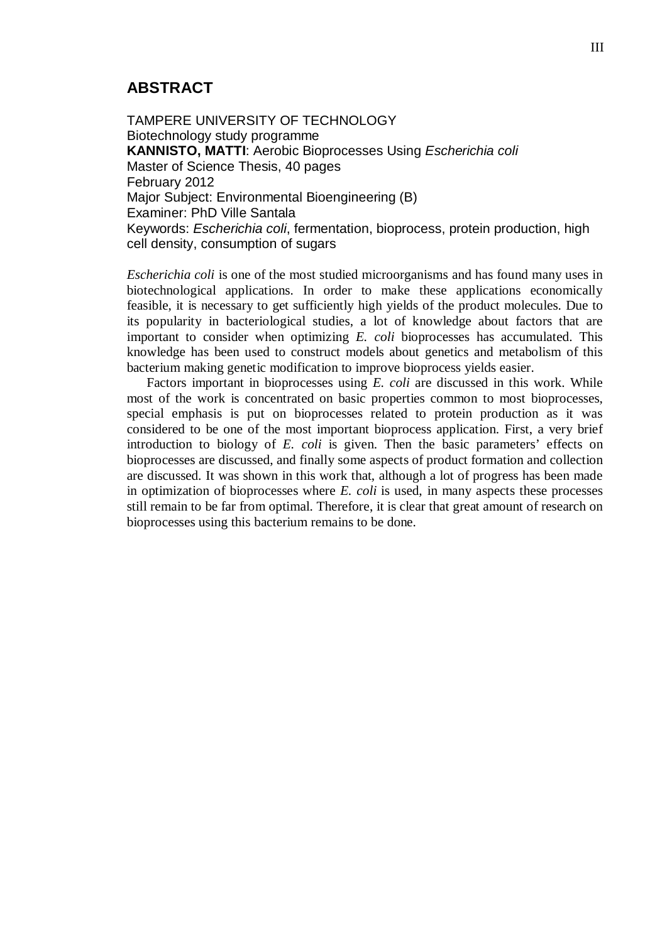### **ABSTRACT**

TAMPERE UNIVERSITY OF TECHNOLOGY Biotechnology study programme **KANNISTO, MATTI**: Aerobic Bioprocesses Using *Escherichia coli* Master of Science Thesis, 40 pages February 2012 Major Subject: Environmental Bioengineering (B) Examiner: PhD Ville Santala Keywords: *Escherichia coli*, fermentation, bioprocess, protein production, high cell density, consumption of sugars

*Escherichia coli* is one of the most studied microorganisms and has found many uses in biotechnological applications. In order to make these applications economically feasible, it is necessary to get sufficiently high yields of the product molecules. Due to its popularity in bacteriological studies, a lot of knowledge about factors that are important to consider when optimizing *E. coli* bioprocesses has accumulated. This knowledge has been used to construct models about genetics and metabolism of this bacterium making genetic modification to improve bioprocess yields easier.

Factors important in bioprocesses using *E. coli* are discussed in this work. While most of the work is concentrated on basic properties common to most bioprocesses, special emphasis is put on bioprocesses related to protein production as it was considered to be one of the most important bioprocess application. First, a very brief introduction to biology of *E. coli* is given. Then the basic parameters' effects on bioprocesses are discussed, and finally some aspects of product formation and collection are discussed. It was shown in this work that, although a lot of progress has been made in optimization of bioprocesses where *E. coli* is used, in many aspects these processes still remain to be far from optimal. Therefore, it is clear that great amount of research on bioprocesses using this bacterium remains to be done.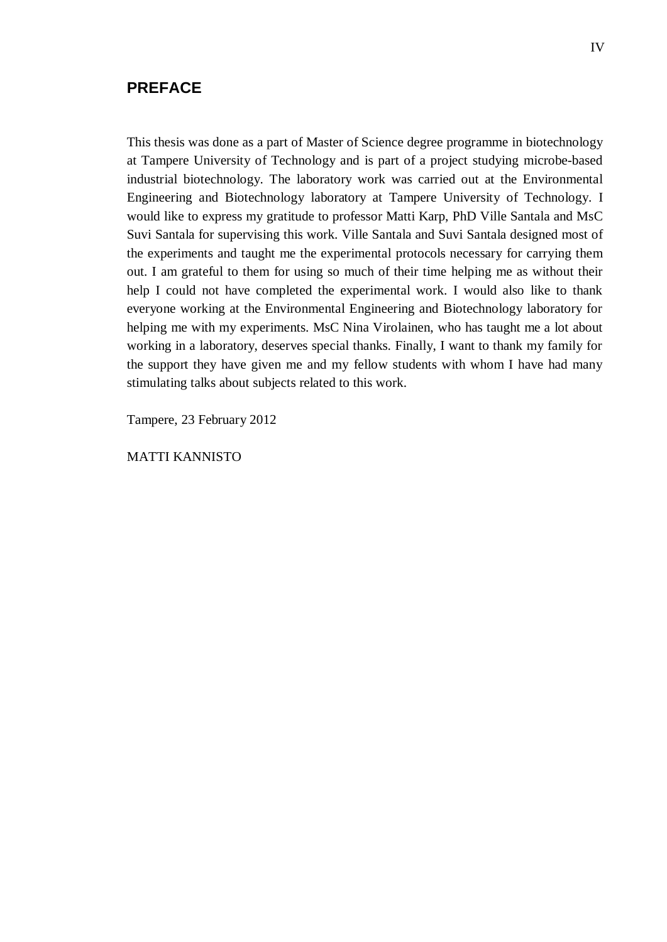#### **PREFACE**

This thesis was done as a part of Master of Science degree programme in biotechnology at Tampere University of Technology and is part of a project studying microbe-based industrial biotechnology. The laboratory work was carried out at the Environmental Engineering and Biotechnology laboratory at Tampere University of Technology. I would like to express my gratitude to professor Matti Karp, PhD Ville Santala and MsC Suvi Santala for supervising this work. Ville Santala and Suvi Santala designed most of the experiments and taught me the experimental protocols necessary for carrying them out. I am grateful to them for using so much of their time helping me as without their help I could not have completed the experimental work. I would also like to thank everyone working at the Environmental Engineering and Biotechnology laboratory for helping me with my experiments. MsC Nina Virolainen, who has taught me a lot about working in a laboratory, deserves special thanks. Finally, I want to thank my family for the support they have given me and my fellow students with whom I have had many stimulating talks about subjects related to this work.

Tampere, 23 February 2012

MATTI KANNISTO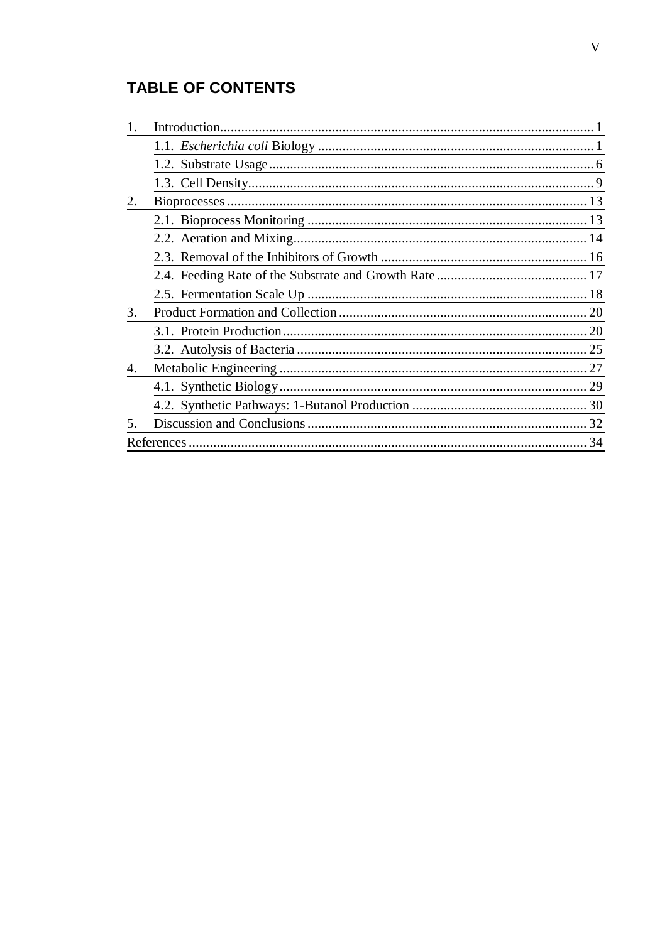# **TABLE OF CONTENTS**

| 2. |    |
|----|----|
|    |    |
|    |    |
|    |    |
|    |    |
|    |    |
| 3. |    |
|    |    |
|    |    |
| 4. |    |
|    | 29 |
|    |    |
| 5. |    |
|    | 34 |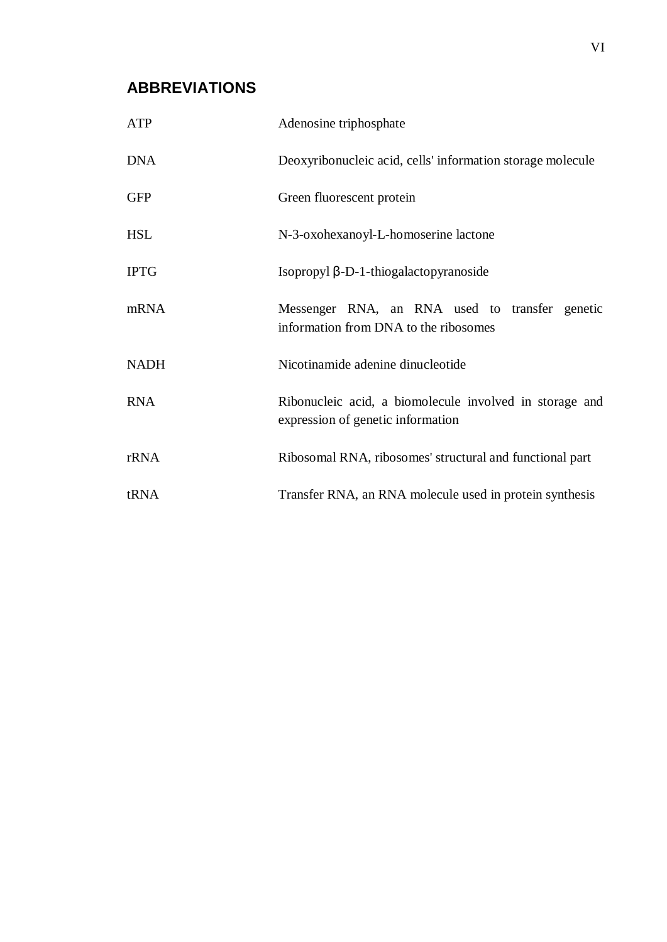### **ABBREVIATIONS**

| ATP         | Adenosine triphosphate                                                                       |
|-------------|----------------------------------------------------------------------------------------------|
| <b>DNA</b>  | Deoxyribonucleic acid, cells' information storage molecule                                   |
| <b>GFP</b>  | Green fluorescent protein                                                                    |
| <b>HSL</b>  | N-3-oxohexanoyl-L-homoserine lactone                                                         |
| <b>IPTG</b> | Isopropyl $\beta$ -D-1-thiogalactopyranoside                                                 |
| mRNA        | Messenger RNA, an RNA used to transfer genetic<br>information from DNA to the ribosomes      |
| <b>NADH</b> | Nicotinamide adenine dinucleotide                                                            |
| <b>RNA</b>  | Ribonucleic acid, a biomolecule involved in storage and<br>expression of genetic information |
| rRNA        | Ribosomal RNA, ribosomes' structural and functional part                                     |
| tRNA        | Transfer RNA, an RNA molecule used in protein synthesis                                      |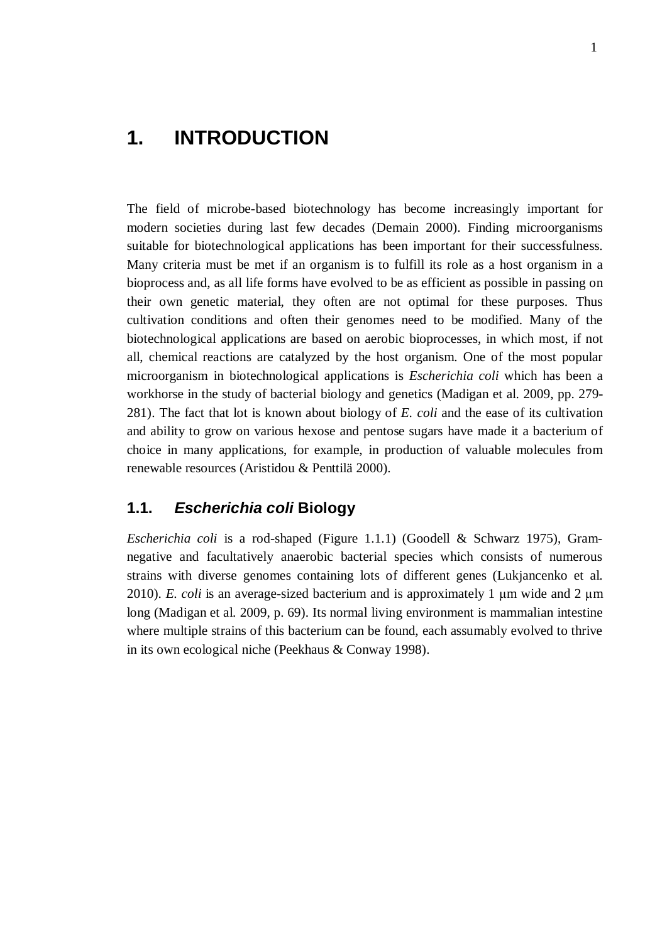# <span id="page-6-0"></span>**1. INTRODUCTION**

The field of microbe-based biotechnology has become increasingly important for modern societies during last few decades (Demain 2000). Finding microorganisms suitable for biotechnological applications has been important for their successfulness. Many criteria must be met if an organism is to fulfill its role as a host organism in a bioprocess and, as all life forms have evolved to be as efficient as possible in passing on their own genetic material, they often are not optimal for these purposes. Thus cultivation conditions and often their genomes need to be modified. Many of the biotechnological applications are based on aerobic bioprocesses, in which most, if not all, chemical reactions are catalyzed by the host organism. One of the most popular microorganism in biotechnological applications is *Escherichia coli* which has been a workhorse in the study of bacterial biology and genetics (Madigan et al. 2009, pp. 279- 281). The fact that lot is known about biology of *E. coli* and the ease of its cultivation and ability to grow on various hexose and pentose sugars have made it a bacterium of choice in many applications, for example, in production of valuable molecules from renewable resources (Aristidou & Penttilä 2000).

### <span id="page-6-1"></span>**1.1.** *Escherichia coli* **Biology**

*Escherichia coli* is a rod-shaped (Figure 1.1.1) (Goodell & Schwarz 1975), Gramnegative and facultatively anaerobic bacterial species which consists of numerous strains with diverse genomes containing lots of different genes (Lukjancenko et al. 2010). *E. coli* is an average-sized bacterium and is approximately 1  $\mu$ m wide and 2  $\mu$ m long (Madigan et al. 2009, p. 69). Its normal living environment is mammalian intestine where multiple strains of this bacterium can be found, each assumably evolved to thrive in its own ecological niche (Peekhaus & Conway 1998).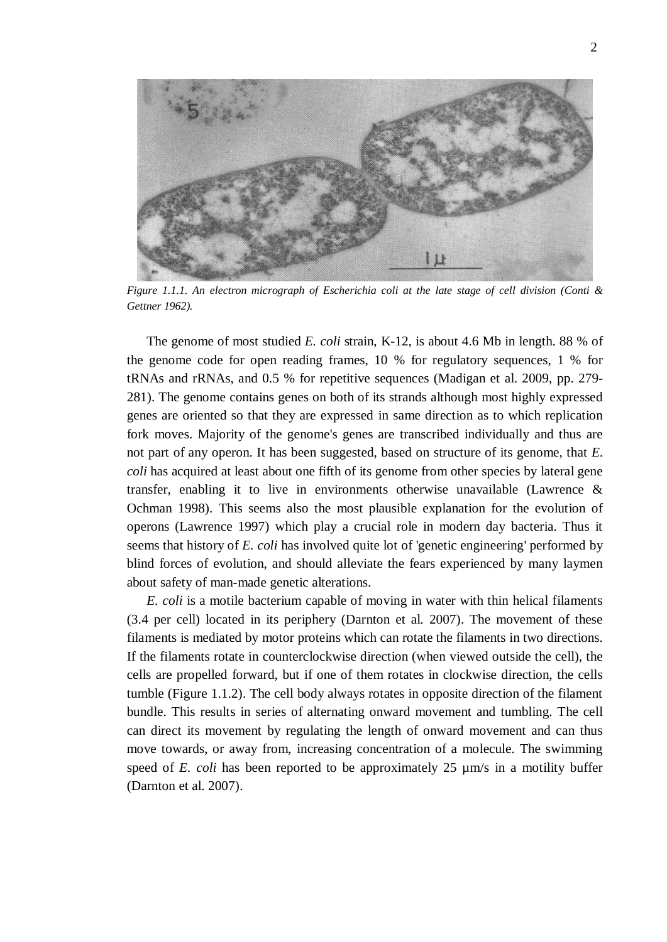

*Figure 1.1.1. An electron micrograph of Escherichia coli at the late stage of cell division (Conti & Gettner 1962).* 

The genome of most studied *E. coli* strain, K-12, is about 4.6 Mb in length. 88 % of the genome code for open reading frames, 10 % for regulatory sequences, 1 % for tRNAs and rRNAs, and 0.5 % for repetitive sequences (Madigan et al. 2009, pp. 279- 281). The genome contains genes on both of its strands although most highly expressed genes are oriented so that they are expressed in same direction as to which replication fork moves. Majority of the genome's genes are transcribed individually and thus are not part of any operon. It has been suggested, based on structure of its genome, that *E. coli* has acquired at least about one fifth of its genome from other species by lateral gene transfer, enabling it to live in environments otherwise unavailable (Lawrence  $\&$ Ochman 1998). This seems also the most plausible explanation for the evolution of operons (Lawrence 1997) which play a crucial role in modern day bacteria. Thus it seems that history of *E. coli* has involved quite lot of 'genetic engineering' performed by blind forces of evolution, and should alleviate the fears experienced by many laymen about safety of man-made genetic alterations.

*E. coli* is a motile bacterium capable of moving in water with thin helical filaments (3.4 per cell) located in its periphery (Darnton et al. 2007). The movement of these filaments is mediated by motor proteins which can rotate the filaments in two directions. If the filaments rotate in counterclockwise direction (when viewed outside the cell), the cells are propelled forward, but if one of them rotates in clockwise direction, the cells tumble (Figure 1.1.2). The cell body always rotates in opposite direction of the filament bundle. This results in series of alternating onward movement and tumbling. The cell can direct its movement by regulating the length of onward movement and can thus move towards, or away from, increasing concentration of a molecule. The swimming speed of *E. coli* has been reported to be approximately 25  $\mu$ m/s in a motility buffer (Darnton et al. 2007).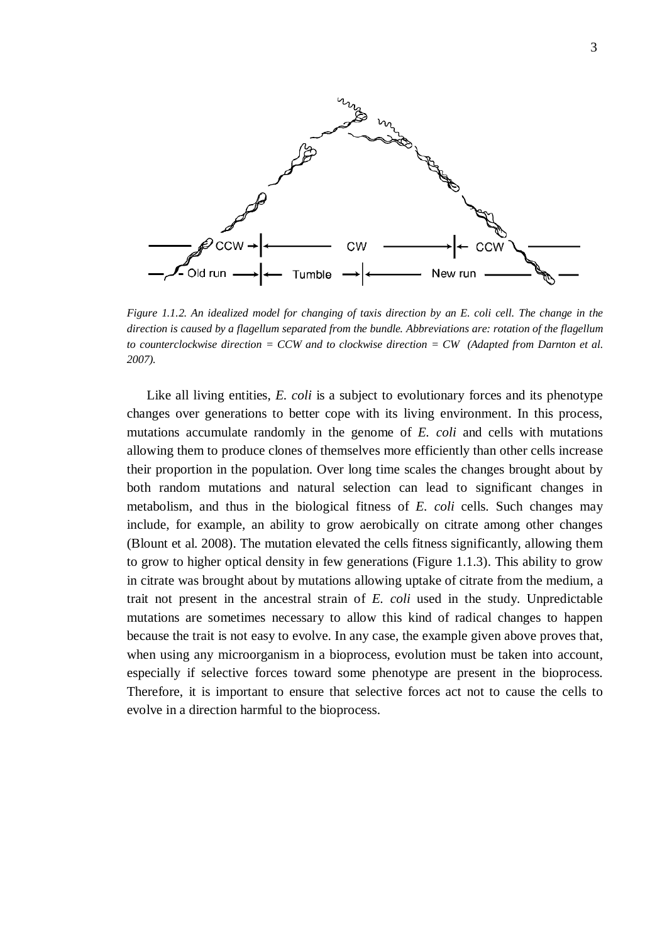

*Figure 1.1.2. An idealized model for changing of taxis direction by an E. coli cell. The change in the direction is caused by a flagellum separated from the bundle. Abbreviations are: rotation of the flagellum to counterclockwise direction = CCW and to clockwise direction = CW (Adapted from Darnton et al. 2007).* 

Like all living entities, *E. coli* is a subject to evolutionary forces and its phenotype changes over generations to better cope with its living environment. In this process, mutations accumulate randomly in the genome of *E. coli* and cells with mutations allowing them to produce clones of themselves more efficiently than other cells increase their proportion in the population. Over long time scales the changes brought about by both random mutations and natural selection can lead to significant changes in metabolism, and thus in the biological fitness of *E. coli* cells. Such changes may include, for example, an ability to grow aerobically on citrate among other changes (Blount et al. 2008). The mutation elevated the cells fitness significantly, allowing them to grow to higher optical density in few generations (Figure 1.1.3). This ability to grow in citrate was brought about by mutations allowing uptake of citrate from the medium, a trait not present in the ancestral strain of *E. coli* used in the study. Unpredictable mutations are sometimes necessary to allow this kind of radical changes to happen because the trait is not easy to evolve. In any case, the example given above proves that, when using any microorganism in a bioprocess, evolution must be taken into account, especially if selective forces toward some phenotype are present in the bioprocess. Therefore, it is important to ensure that selective forces act not to cause the cells to evolve in a direction harmful to the bioprocess.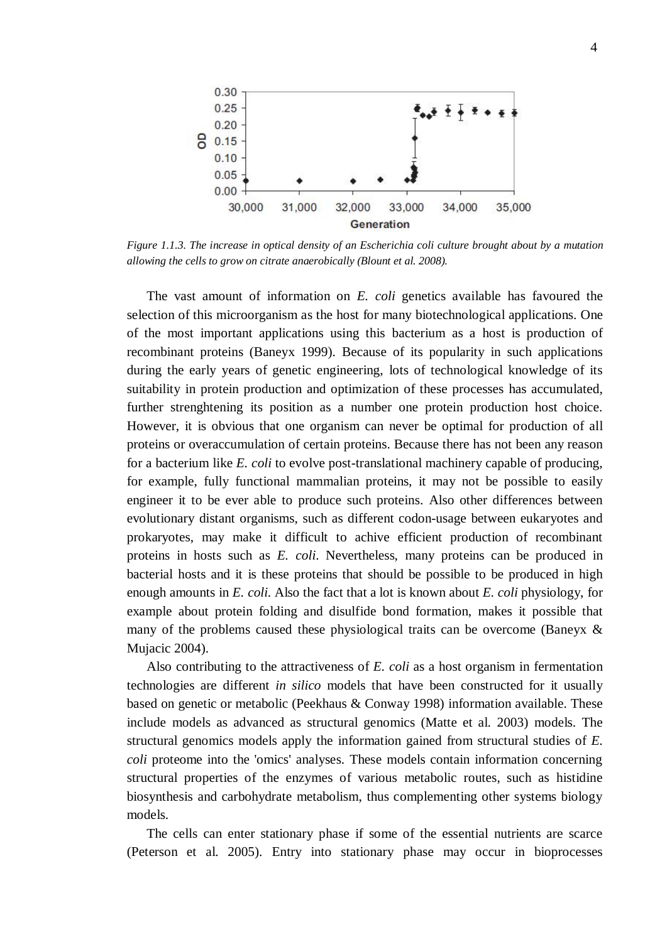

*Figure 1.1.3. The increase in optical density of an Escherichia coli culture brought about by a mutation allowing the cells to grow on citrate anaerobically (Blount et al. 2008).* 

The vast amount of information on *E. coli* genetics available has favoured the selection of this microorganism as the host for many biotechnological applications. One of the most important applications using this bacterium as a host is production of recombinant proteins (Baneyx 1999). Because of its popularity in such applications during the early years of genetic engineering, lots of technological knowledge of its suitability in protein production and optimization of these processes has accumulated, further strenghtening its position as a number one protein production host choice. However, it is obvious that one organism can never be optimal for production of all proteins or overaccumulation of certain proteins. Because there has not been any reason for a bacterium like *E. coli* to evolve post-translational machinery capable of producing, for example, fully functional mammalian proteins, it may not be possible to easily engineer it to be ever able to produce such proteins. Also other differences between evolutionary distant organisms, such as different codon-usage between eukaryotes and prokaryotes, may make it difficult to achive efficient production of recombinant proteins in hosts such as *E. coli*. Nevertheless, many proteins can be produced in bacterial hosts and it is these proteins that should be possible to be produced in high enough amounts in *E. coli*. Also the fact that a lot is known about *E. coli* physiology, for example about protein folding and disulfide bond formation, makes it possible that many of the problems caused these physiological traits can be overcome (Baneyx & Mujacic 2004).

Also contributing to the attractiveness of *E. coli* as a host organism in fermentation technologies are different *in silico* models that have been constructed for it usually based on genetic or metabolic (Peekhaus & Conway 1998) information available. These include models as advanced as structural genomics (Matte et al. 2003) models. The structural genomics models apply the information gained from structural studies of *E. coli* proteome into the 'omics' analyses. These models contain information concerning structural properties of the enzymes of various metabolic routes, such as histidine biosynthesis and carbohydrate metabolism, thus complementing other systems biology models.

The cells can enter stationary phase if some of the essential nutrients are scarce (Peterson et al. 2005). Entry into stationary phase may occur in bioprocesses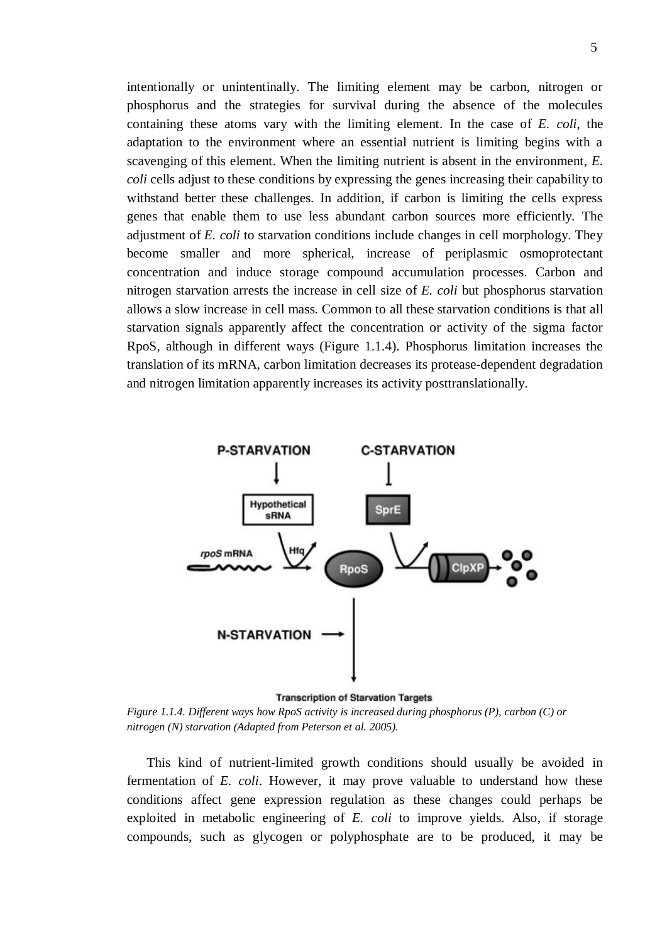intentionally or unintentinally. The limiting element may be carbon, nitrogen or phosphorus and the strategies for survival during the absence of the molecules containing these atoms vary with the limiting element. In the case of *E. coli*, the adaptation to the environment where an essential nutrient is limiting begins with a scavenging of this element. When the limiting nutrient is absent in the environment, *E. coli* cells adjust to these conditions by expressing the genes increasing their capability to withstand better these challenges. In addition, if carbon is limiting the cells express genes that enable them to use less abundant carbon sources more efficiently. The adjustment of *E. coli* to starvation conditions include changes in cell morphology. They become smaller and more spherical, increase of periplasmic osmoprotectant concentration and induce storage compound accumulation processes. Carbon and nitrogen starvation arrests the increase in cell size of *E. coli* but phosphorus starvation allows a slow increase in cell mass. Common to all these starvation conditions is that all starvation signals apparently affect the concentration or activity of the sigma factor RpoS, although in different ways (Figure 1.1.4). Phosphorus limitation increases the translation of its mRNA, carbon limitation decreases its protease-dependent degradation and nitrogen limitation apparently increases its activity posttranslationally.



*Figure 1.1.4. Different ways how RpoS activity is increased during phosphorus (P), carbon (C) or nitrogen (N) starvation (Adapted from Peterson et al. 2005).* 

This kind of nutrient-limited growth conditions should usually be avoided in fermentation of *E. coli*. However, it may prove valuable to understand how these conditions affect gene expression regulation as these changes could perhaps be exploited in metabolic engineering of *E. coli* to improve yields. Also, if storage compounds, such as glycogen or polyphosphate are to be produced, it may be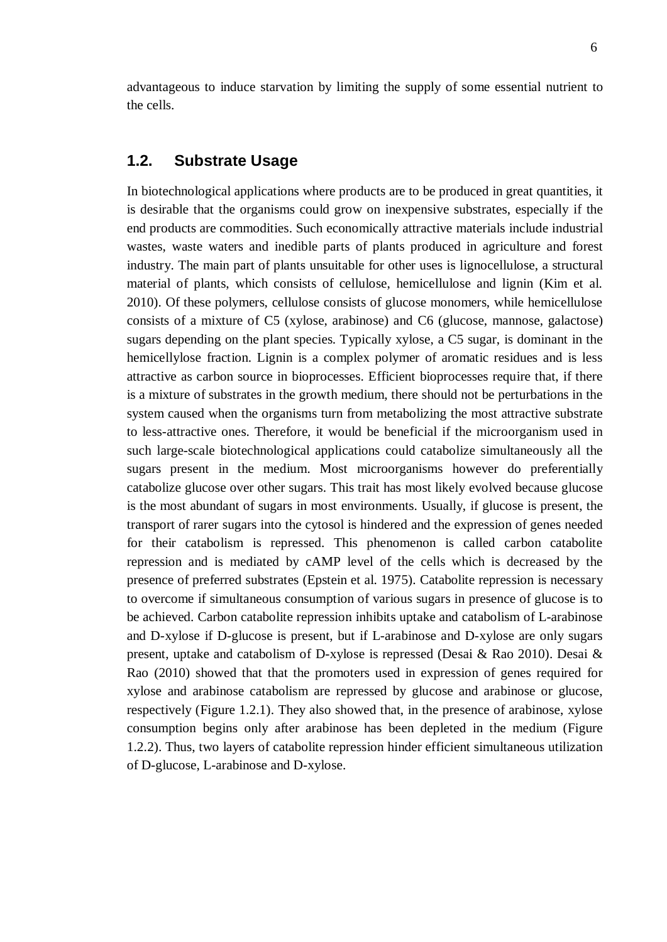advantageous to induce starvation by limiting the supply of some essential nutrient to the cells.

### <span id="page-11-0"></span>**1.2. Substrate Usage**

In biotechnological applications where products are to be produced in great quantities, it is desirable that the organisms could grow on inexpensive substrates, especially if the end products are commodities. Such economically attractive materials include industrial wastes, waste waters and inedible parts of plants produced in agriculture and forest industry. The main part of plants unsuitable for other uses is lignocellulose, a structural material of plants, which consists of cellulose, hemicellulose and lignin (Kim et al. 2010). Of these polymers, cellulose consists of glucose monomers, while hemicellulose consists of a mixture of C5 (xylose, arabinose) and C6 (glucose, mannose, galactose) sugars depending on the plant species. Typically xylose, a C5 sugar, is dominant in the hemicellylose fraction. Lignin is a complex polymer of aromatic residues and is less attractive as carbon source in bioprocesses. Efficient bioprocesses require that, if there is a mixture of substrates in the growth medium, there should not be perturbations in the system caused when the organisms turn from metabolizing the most attractive substrate to less-attractive ones. Therefore, it would be beneficial if the microorganism used in such large-scale biotechnological applications could catabolize simultaneously all the sugars present in the medium. Most microorganisms however do preferentially catabolize glucose over other sugars. This trait has most likely evolved because glucose is the most abundant of sugars in most environments. Usually, if glucose is present, the transport of rarer sugars into the cytosol is hindered and the expression of genes needed for their catabolism is repressed. This phenomenon is called carbon catabolite repression and is mediated by cAMP level of the cells which is decreased by the presence of preferred substrates (Epstein et al. 1975). Catabolite repression is necessary to overcome if simultaneous consumption of various sugars in presence of glucose is to be achieved. Carbon catabolite repression inhibits uptake and catabolism of L-arabinose and D-xylose if D-glucose is present, but if L-arabinose and D-xylose are only sugars present, uptake and catabolism of D-xylose is repressed (Desai & Rao 2010). Desai & Rao (2010) showed that that the promoters used in expression of genes required for xylose and arabinose catabolism are repressed by glucose and arabinose or glucose, respectively (Figure 1.2.1). They also showed that, in the presence of arabinose, xylose consumption begins only after arabinose has been depleted in the medium (Figure 1.2.2). Thus, two layers of catabolite repression hinder efficient simultaneous utilization of D-glucose, L-arabinose and D-xylose.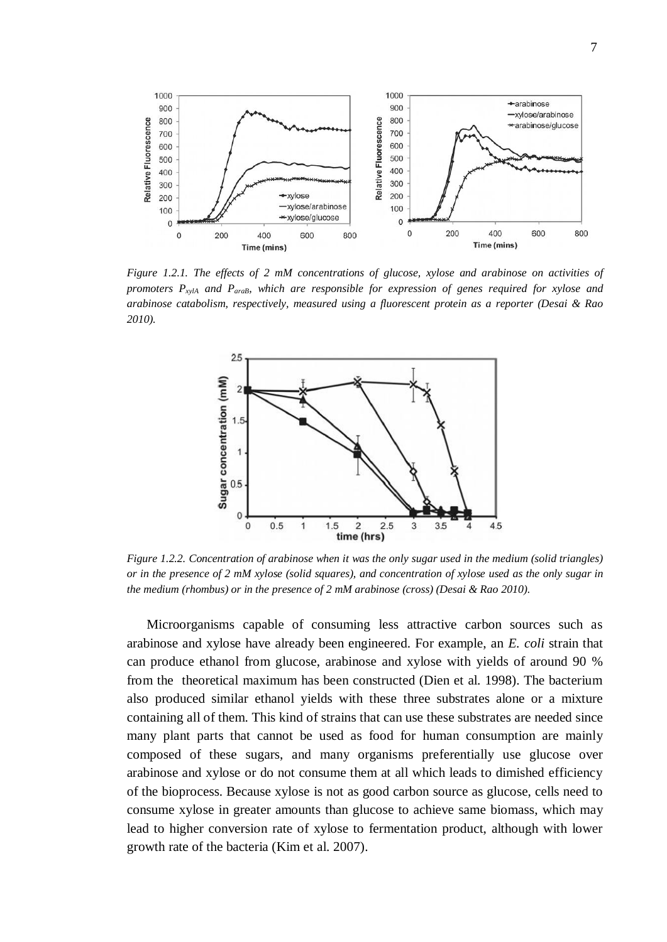

*Figure 1.2.1. The effects of 2 mM concentrations of glucose, xylose and arabinose on activities of promoters PxylA and ParaB, which are responsible for expression of genes required for xylose and arabinose catabolism, respectively, measured using a fluorescent protein as a reporter (Desai & Rao 2010).* 



*Figure 1.2.2. Concentration of arabinose when it was the only sugar used in the medium (solid triangles) or in the presence of 2 mM xylose (solid squares), and concentration of xylose used as the only sugar in the medium (rhombus) or in the presence of 2 mM arabinose (cross) (Desai & Rao 2010).*

Microorganisms capable of consuming less attractive carbon sources such as arabinose and xylose have already been engineered. For example, an *E. coli* strain that can produce ethanol from glucose, arabinose and xylose with yields of around 90 % from the theoretical maximum has been constructed (Dien et al. 1998). The bacterium also produced similar ethanol yields with these three substrates alone or a mixture containing all of them. This kind of strains that can use these substrates are needed since many plant parts that cannot be used as food for human consumption are mainly composed of these sugars, and many organisms preferentially use glucose over arabinose and xylose or do not consume them at all which leads to dimished efficiency of the bioprocess. Because xylose is not as good carbon source as glucose, cells need to consume xylose in greater amounts than glucose to achieve same biomass, which may lead to higher conversion rate of xylose to fermentation product, although with lower growth rate of the bacteria (Kim et al. 2007).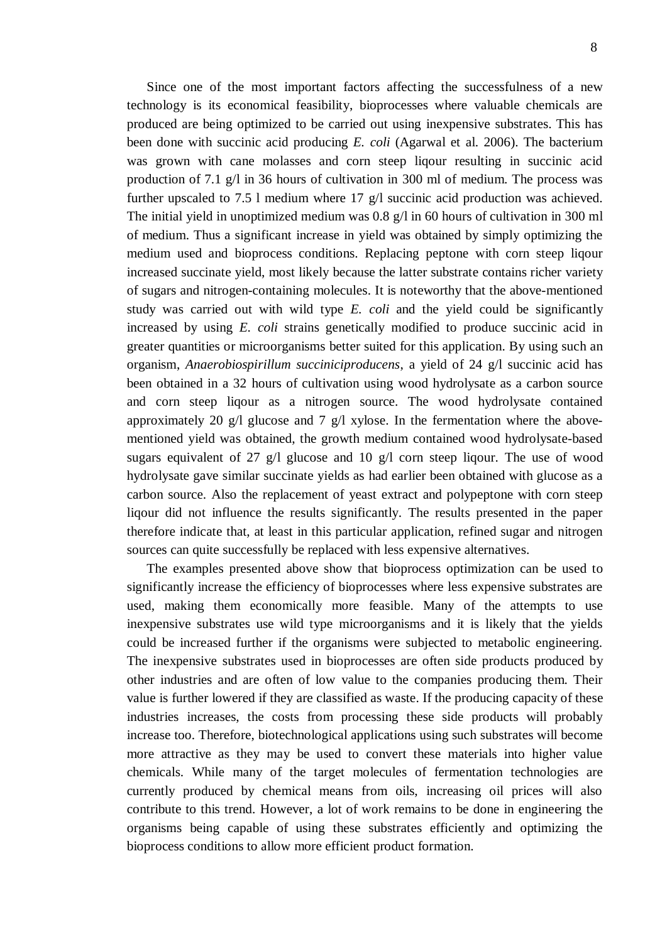Since one of the most important factors affecting the successfulness of a new technology is its economical feasibility, bioprocesses where valuable chemicals are produced are being optimized to be carried out using inexpensive substrates. This has been done with succinic acid producing *E. coli* (Agarwal et al. 2006). The bacterium was grown with cane molasses and corn steep liqour resulting in succinic acid production of 7.1 g/l in 36 hours of cultivation in 300 ml of medium. The process was further upscaled to 7.5 l medium where 17 g/l succinic acid production was achieved. The initial yield in unoptimized medium was 0.8 g/l in 60 hours of cultivation in 300 ml of medium. Thus a significant increase in yield was obtained by simply optimizing the medium used and bioprocess conditions. Replacing peptone with corn steep liqour increased succinate yield, most likely because the latter substrate contains richer variety of sugars and nitrogen-containing molecules. It is noteworthy that the above-mentioned study was carried out with wild type *E. coli* and the yield could be significantly increased by using *E. coli* strains genetically modified to produce succinic acid in greater quantities or microorganisms better suited for this application. By using such an organism, *Anaerobiospirillum succiniciproducens*, a yield of 24 g/l succinic acid has been obtained in a 32 hours of cultivation using wood hydrolysate as a carbon source and corn steep liqour as a nitrogen source. The wood hydrolysate contained approximately 20 g/l glucose and 7 g/l xylose. In the fermentation where the abovementioned yield was obtained, the growth medium contained wood hydrolysate-based sugars equivalent of 27 g/l glucose and 10 g/l corn steep liqour. The use of wood hydrolysate gave similar succinate yields as had earlier been obtained with glucose as a carbon source. Also the replacement of yeast extract and polypeptone with corn steep liqour did not influence the results significantly. The results presented in the paper therefore indicate that, at least in this particular application, refined sugar and nitrogen sources can quite successfully be replaced with less expensive alternatives.

The examples presented above show that bioprocess optimization can be used to significantly increase the efficiency of bioprocesses where less expensive substrates are used, making them economically more feasible. Many of the attempts to use inexpensive substrates use wild type microorganisms and it is likely that the yields could be increased further if the organisms were subjected to metabolic engineering. The inexpensive substrates used in bioprocesses are often side products produced by other industries and are often of low value to the companies producing them. Their value is further lowered if they are classified as waste. If the producing capacity of these industries increases, the costs from processing these side products will probably increase too. Therefore, biotechnological applications using such substrates will become more attractive as they may be used to convert these materials into higher value chemicals. While many of the target molecules of fermentation technologies are currently produced by chemical means from oils, increasing oil prices will also contribute to this trend. However, a lot of work remains to be done in engineering the organisms being capable of using these substrates efficiently and optimizing the bioprocess conditions to allow more efficient product formation.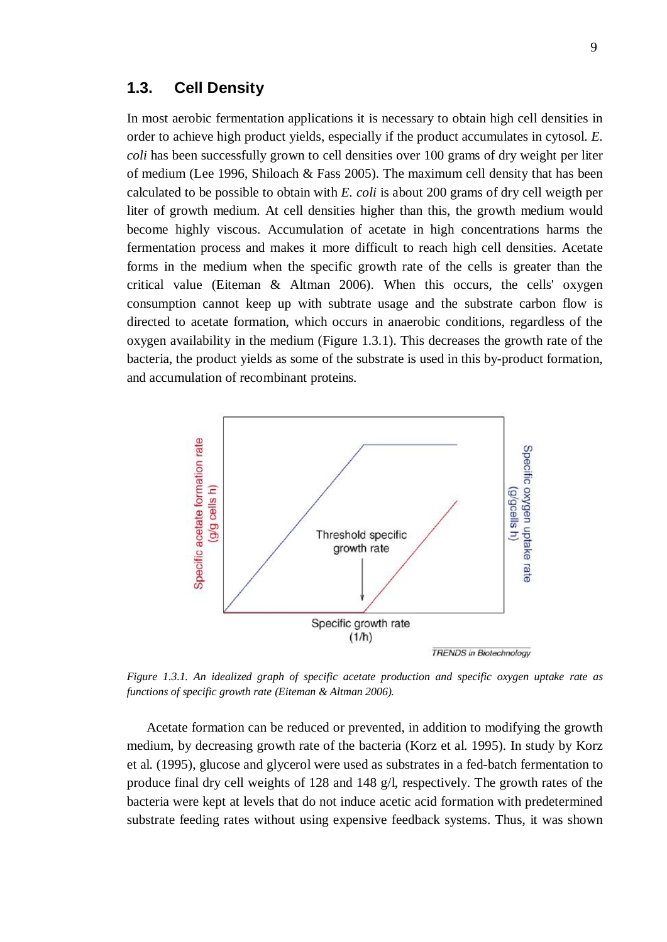### <span id="page-14-0"></span>**1.3. Cell Density**

In most aerobic fermentation applications it is necessary to obtain high cell densities in order to achieve high product yields, especially if the product accumulates in cytosol. *E. coli* has been successfully grown to cell densities over 100 grams of dry weight per liter of medium (Lee 1996, Shiloach & Fass 2005). The maximum cell density that has been calculated to be possible to obtain with *E. coli* is about 200 grams of dry cell weigth per liter of growth medium. At cell densities higher than this, the growth medium would become highly viscous. Accumulation of acetate in high concentrations harms the fermentation process and makes it more difficult to reach high cell densities. Acetate forms in the medium when the specific growth rate of the cells is greater than the critical value (Eiteman & Altman 2006). When this occurs, the cells' oxygen consumption cannot keep up with subtrate usage and the substrate carbon flow is directed to acetate formation, which occurs in anaerobic conditions, regardless of the oxygen availability in the medium (Figure 1.3.1). This decreases the growth rate of the bacteria, the product yields as some of the substrate is used in this by-product formation, and accumulation of recombinant proteins.



*Figure 1.3.1. An idealized graph of specific acetate production and specific oxygen uptake rate as functions of specific growth rate (Eiteman & Altman 2006).* 

Acetate formation can be reduced or prevented, in addition to modifying the growth medium, by decreasing growth rate of the bacteria (Korz et al. 1995). In study by Korz et al. (1995), glucose and glycerol were used as substrates in a fed-batch fermentation to produce final dry cell weights of 128 and 148 g/l, respectively. The growth rates of the bacteria were kept at levels that do not induce acetic acid formation with predetermined substrate feeding rates without using expensive feedback systems. Thus, it was shown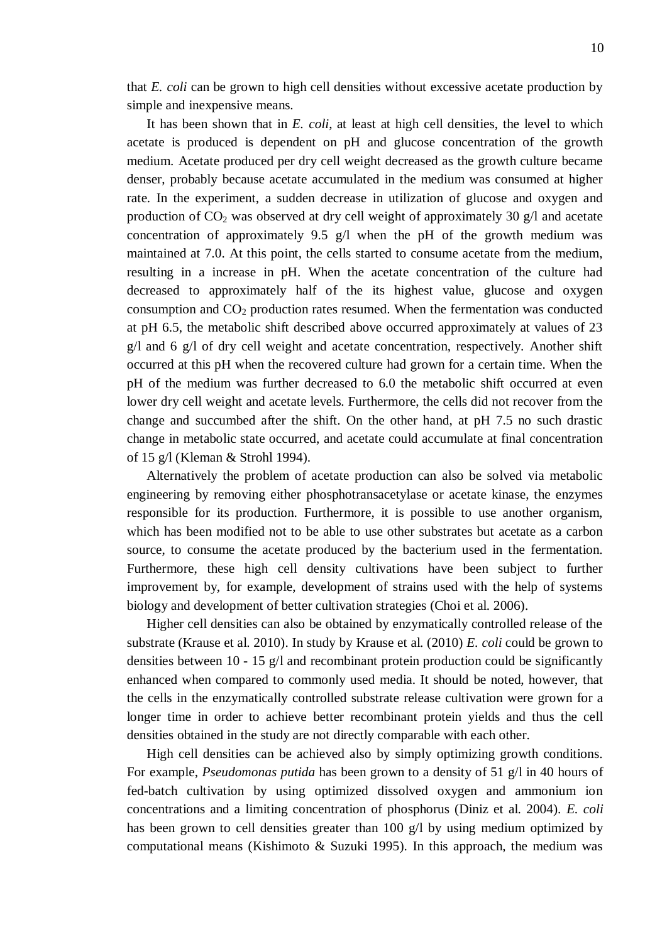that *E. coli* can be grown to high cell densities without excessive acetate production by simple and inexpensive means.

It has been shown that in *E. coli*, at least at high cell densities, the level to which acetate is produced is dependent on pH and glucose concentration of the growth medium. Acetate produced per dry cell weight decreased as the growth culture became denser, probably because acetate accumulated in the medium was consumed at higher rate. In the experiment, a sudden decrease in utilization of glucose and oxygen and production of  $CO<sub>2</sub>$  was observed at dry cell weight of approximately 30 g/l and acetate concentration of approximately 9.5 g/l when the pH of the growth medium was maintained at 7.0. At this point, the cells started to consume acetate from the medium, resulting in a increase in pH. When the acetate concentration of the culture had decreased to approximately half of the its highest value, glucose and oxygen consumption and  $CO<sub>2</sub>$  production rates resumed. When the fermentation was conducted at pH 6.5, the metabolic shift described above occurred approximately at values of 23  $g/l$  and 6  $g/l$  of dry cell weight and acetate concentration, respectively. Another shift occurred at this pH when the recovered culture had grown for a certain time. When the pH of the medium was further decreased to 6.0 the metabolic shift occurred at even lower dry cell weight and acetate levels. Furthermore, the cells did not recover from the change and succumbed after the shift. On the other hand, at pH 7.5 no such drastic change in metabolic state occurred, and acetate could accumulate at final concentration of 15 g/l (Kleman & Strohl 1994).

Alternatively the problem of acetate production can also be solved via metabolic engineering by removing either phosphotransacetylase or acetate kinase, the enzymes responsible for its production. Furthermore, it is possible to use another organism, which has been modified not to be able to use other substrates but acetate as a carbon source, to consume the acetate produced by the bacterium used in the fermentation. Furthermore, these high cell density cultivations have been subject to further improvement by, for example, development of strains used with the help of systems biology and development of better cultivation strategies (Choi et al. 2006).

Higher cell densities can also be obtained by enzymatically controlled release of the substrate (Krause et al. 2010). In study by Krause et al. (2010) *E. coli* could be grown to densities between 10 - 15 g/l and recombinant protein production could be significantly enhanced when compared to commonly used media. It should be noted, however, that the cells in the enzymatically controlled substrate release cultivation were grown for a longer time in order to achieve better recombinant protein yields and thus the cell densities obtained in the study are not directly comparable with each other.

High cell densities can be achieved also by simply optimizing growth conditions. For example, *Pseudomonas putida* has been grown to a density of 51 g/l in 40 hours of fed-batch cultivation by using optimized dissolved oxygen and ammonium ion concentrations and a limiting concentration of phosphorus (Diniz et al. 2004). *E. coli* has been grown to cell densities greater than 100 g/l by using medium optimized by computational means (Kishimoto & Suzuki 1995). In this approach, the medium was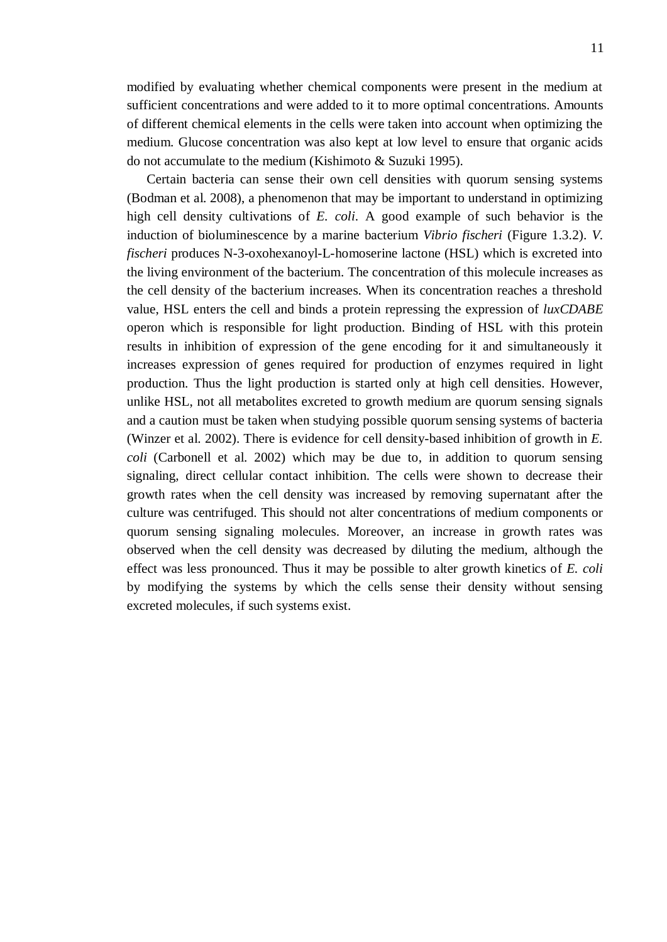modified by evaluating whether chemical components were present in the medium at sufficient concentrations and were added to it to more optimal concentrations. Amounts of different chemical elements in the cells were taken into account when optimizing the medium. Glucose concentration was also kept at low level to ensure that organic acids do not accumulate to the medium (Kishimoto & Suzuki 1995).

Certain bacteria can sense their own cell densities with quorum sensing systems (Bodman et al. 2008), a phenomenon that may be important to understand in optimizing high cell density cultivations of *E. coli*. A good example of such behavior is the induction of bioluminescence by a marine bacterium *Vibrio fischeri* (Figure 1.3.2). *V. fischeri* produces N-3-oxohexanoyl-L-homoserine lactone (HSL) which is excreted into the living environment of the bacterium. The concentration of this molecule increases as the cell density of the bacterium increases. When its concentration reaches a threshold value, HSL enters the cell and binds a protein repressing the expression of *luxCDABE* operon which is responsible for light production. Binding of HSL with this protein results in inhibition of expression of the gene encoding for it and simultaneously it increases expression of genes required for production of enzymes required in light production. Thus the light production is started only at high cell densities. However, unlike HSL, not all metabolites excreted to growth medium are quorum sensing signals and a caution must be taken when studying possible quorum sensing systems of bacteria (Winzer et al. 2002). There is evidence for cell density-based inhibition of growth in *E. coli* (Carbonell et al. 2002) which may be due to, in addition to quorum sensing signaling, direct cellular contact inhibition. The cells were shown to decrease their growth rates when the cell density was increased by removing supernatant after the culture was centrifuged. This should not alter concentrations of medium components or quorum sensing signaling molecules. Moreover, an increase in growth rates was observed when the cell density was decreased by diluting the medium, although the effect was less pronounced. Thus it may be possible to alter growth kinetics of *E. coli* by modifying the systems by which the cells sense their density without sensing excreted molecules, if such systems exist.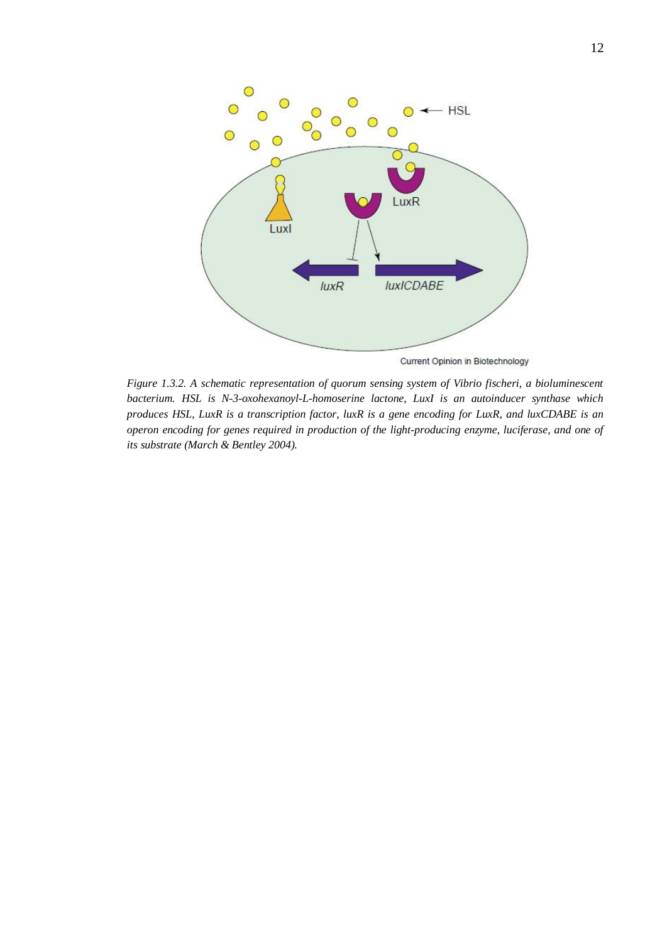

Current Opinion in Biotechnology

*Figure 1.3.2. A schematic representation of quorum sensing system of Vibrio fischeri, a bioluminescent bacterium. HSL is N-3-oxohexanoyl-L-homoserine lactone, LuxI is an autoinducer synthase which produces HSL, LuxR is a transcription factor, luxR is a gene encoding for LuxR, and luxCDABE is an operon encoding for genes required in production of the light-producing enzyme, luciferase, and one of its substrate (March & Bentley 2004).*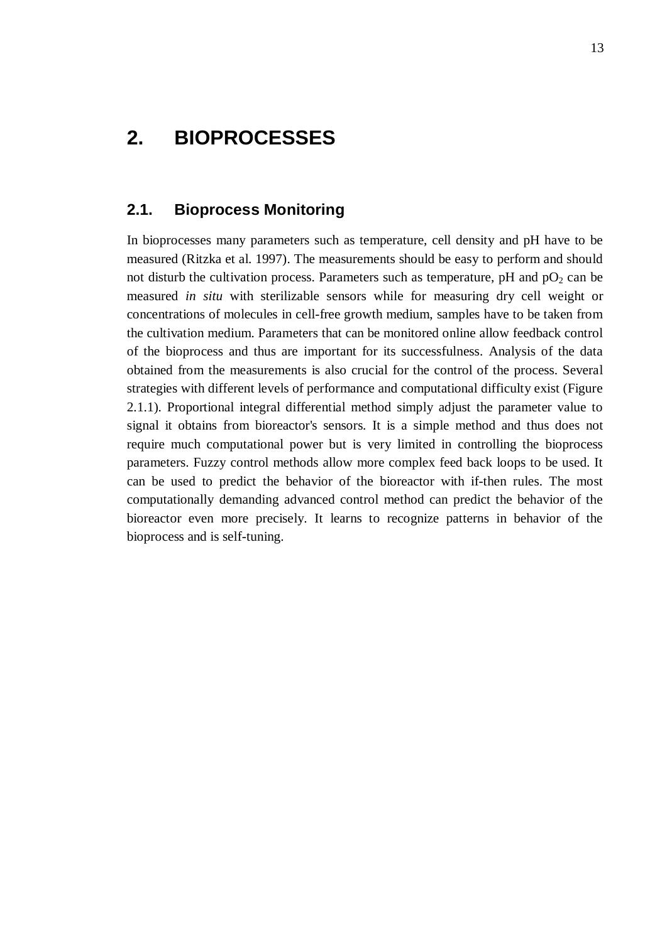## <span id="page-18-0"></span>**2. BIOPROCESSES**

#### **2.1. Bioprocess Monitoring**

<span id="page-18-1"></span>In bioprocesses many parameters such as temperature, cell density and pH have to be measured (Ritzka et al. 1997). The measurements should be easy to perform and should not disturb the cultivation process. Parameters such as temperature,  $pH$  and  $pO<sub>2</sub>$  can be measured *in situ* with sterilizable sensors while for measuring dry cell weight or concentrations of molecules in cell-free growth medium, samples have to be taken from the cultivation medium. Parameters that can be monitored online allow feedback control of the bioprocess and thus are important for its successfulness. Analysis of the data obtained from the measurements is also crucial for the control of the process. Several strategies with different levels of performance and computational difficulty exist (Figure 2.1.1). Proportional integral differential method simply adjust the parameter value to signal it obtains from bioreactor's sensors. It is a simple method and thus does not require much computational power but is very limited in controlling the bioprocess parameters. Fuzzy control methods allow more complex feed back loops to be used. It can be used to predict the behavior of the bioreactor with if-then rules. The most computationally demanding advanced control method can predict the behavior of the bioreactor even more precisely. It learns to recognize patterns in behavior of the bioprocess and is self-tuning.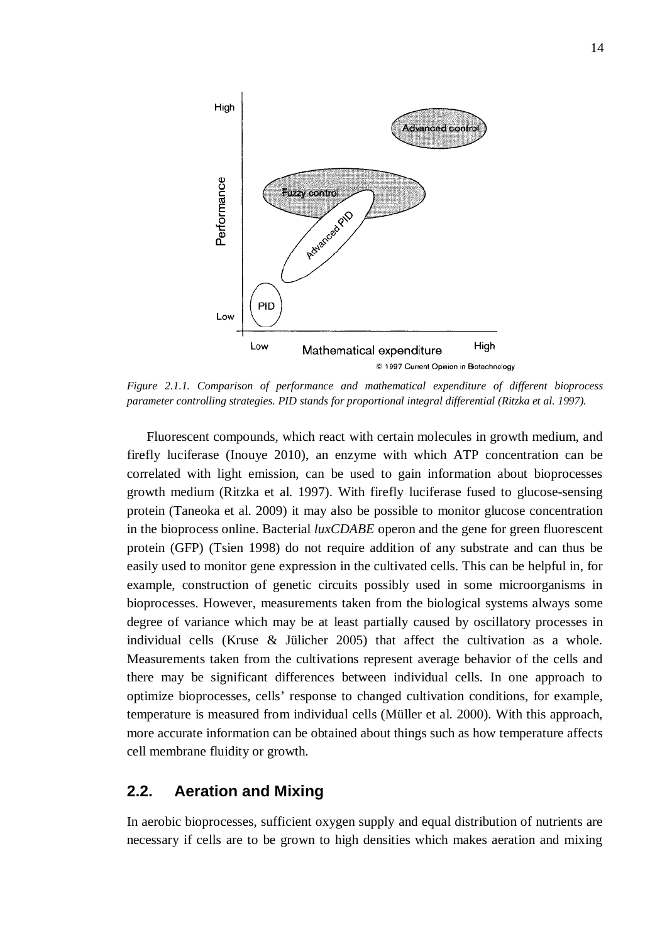

*Figure 2.1.1. Comparison of performance and mathematical expenditure of different bioprocess parameter controlling strategies. PID stands for proportional integral differential (Ritzka et al. 1997).* 

Fluorescent compounds, which react with certain molecules in growth medium, and firefly luciferase (Inouye 2010), an enzyme with which ATP concentration can be correlated with light emission, can be used to gain information about bioprocesses growth medium (Ritzka et al. 1997). With firefly luciferase fused to glucose-sensing protein (Taneoka et al. 2009) it may also be possible to monitor glucose concentration in the bioprocess online. Bacterial *luxCDABE* operon and the gene for green fluorescent protein (GFP) (Tsien 1998) do not require addition of any substrate and can thus be easily used to monitor gene expression in the cultivated cells. This can be helpful in, for example, construction of genetic circuits possibly used in some microorganisms in bioprocesses. However, measurements taken from the biological systems always some degree of variance which may be at least partially caused by oscillatory processes in individual cells (Kruse & Jülicher 2005) that affect the cultivation as a whole. Measurements taken from the cultivations represent average behavior of the cells and there may be significant differences between individual cells. In one approach to optimize bioprocesses, cells' response to changed cultivation conditions, for example, temperature is measured from individual cells (Müller et al. 2000). With this approach, more accurate information can be obtained about things such as how temperature affects cell membrane fluidity or growth.

### <span id="page-19-0"></span>**2.2. Aeration and Mixing**

In aerobic bioprocesses, sufficient oxygen supply and equal distribution of nutrients are necessary if cells are to be grown to high densities which makes aeration and mixing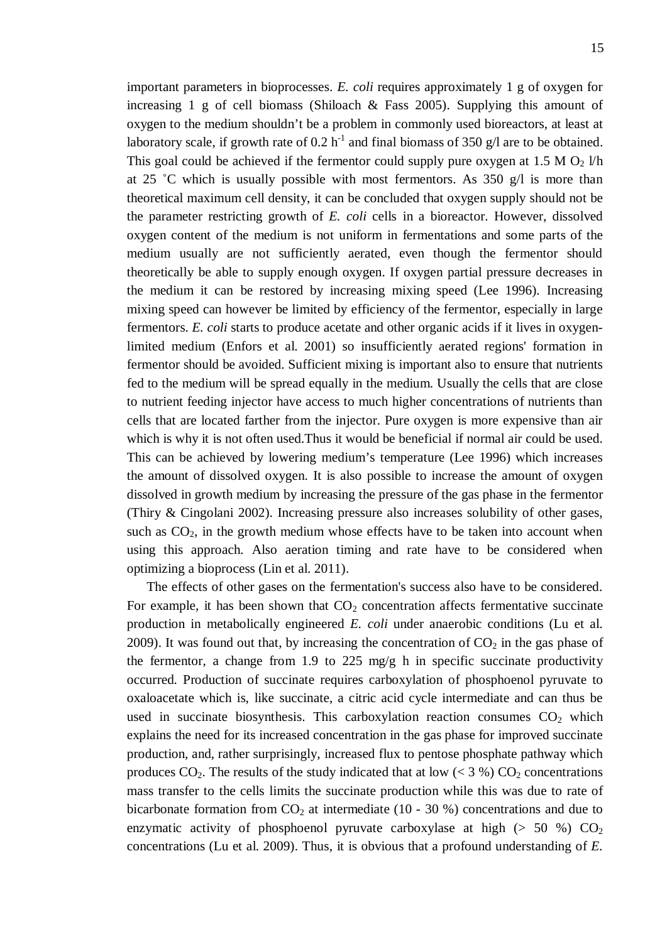important parameters in bioprocesses. *E. coli* requires approximately 1 g of oxygen for increasing 1 g of cell biomass (Shiloach & Fass 2005). Supplying this amount of oxygen to the medium shouldn't be a problem in commonly used bioreactors, at least at laboratory scale, if growth rate of 0.2 h<sup>-1</sup> and final biomass of 350 g/l are to be obtained. This goal could be achieved if the fermentor could supply pure oxygen at 1.5 M  $O_2$  l/h at 25 °C which is usually possible with most fermentors. As 350  $g/l$  is more than theoretical maximum cell density, it can be concluded that oxygen supply should not be the parameter restricting growth of *E. coli* cells in a bioreactor. However, dissolved oxygen content of the medium is not uniform in fermentations and some parts of the medium usually are not sufficiently aerated, even though the fermentor should theoretically be able to supply enough oxygen. If oxygen partial pressure decreases in the medium it can be restored by increasing mixing speed (Lee 1996). Increasing mixing speed can however be limited by efficiency of the fermentor, especially in large fermentors. *E. coli* starts to produce acetate and other organic acids if it lives in oxygenlimited medium (Enfors et al. 2001) so insufficiently aerated regions' formation in fermentor should be avoided. Sufficient mixing is important also to ensure that nutrients fed to the medium will be spread equally in the medium. Usually the cells that are close to nutrient feeding injector have access to much higher concentrations of nutrients than cells that are located farther from the injector. Pure oxygen is more expensive than air which is why it is not often used.Thus it would be beneficial if normal air could be used. This can be achieved by lowering medium's temperature (Lee 1996) which increases the amount of dissolved oxygen. It is also possible to increase the amount of oxygen dissolved in growth medium by increasing the pressure of the gas phase in the fermentor (Thiry & Cingolani 2002). Increasing pressure also increases solubility of other gases, such as  $CO<sub>2</sub>$ , in the growth medium whose effects have to be taken into account when using this approach. Also aeration timing and rate have to be considered when optimizing a bioprocess (Lin et al. 2011).

The effects of other gases on the fermentation's success also have to be considered. For example, it has been shown that  $CO<sub>2</sub>$  concentration affects fermentative succinate production in metabolically engineered *E. coli* under anaerobic conditions (Lu et al. 2009). It was found out that, by increasing the concentration of  $CO<sub>2</sub>$  in the gas phase of the fermentor, a change from 1.9 to 225 mg/g h in specific succinate productivity occurred. Production of succinate requires carboxylation of phosphoenol pyruvate to oxaloacetate which is, like succinate, a citric acid cycle intermediate and can thus be used in succinate biosynthesis. This carboxylation reaction consumes  $CO<sub>2</sub>$  which explains the need for its increased concentration in the gas phase for improved succinate production, and, rather surprisingly, increased flux to pentose phosphate pathway which produces  $CO_2$ . The results of the study indicated that at low (< 3 %)  $CO_2$  concentrations mass transfer to the cells limits the succinate production while this was due to rate of bicarbonate formation from  $CO<sub>2</sub>$  at intermediate (10 - 30 %) concentrations and due to enzymatic activity of phosphoenol pyruvate carboxylase at high ( $> 50 \%$ ) CO<sub>2</sub> concentrations (Lu et al. 2009). Thus, it is obvious that a profound understanding of *E.*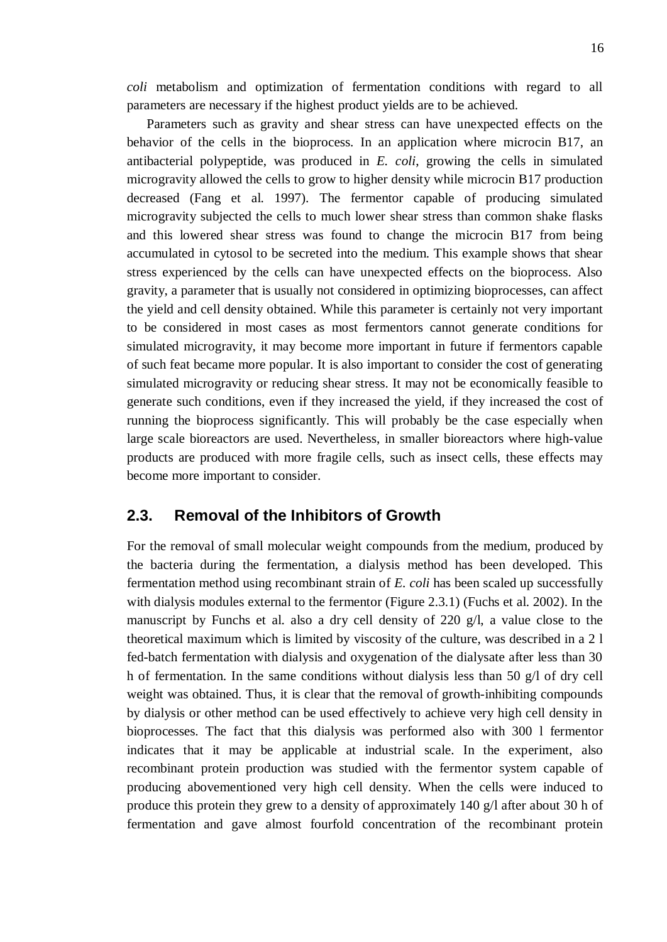*coli* metabolism and optimization of fermentation conditions with regard to all parameters are necessary if the highest product yields are to be achieved.

Parameters such as gravity and shear stress can have unexpected effects on the behavior of the cells in the bioprocess. In an application where microcin B17, an antibacterial polypeptide, was produced in *E. coli*, growing the cells in simulated microgravity allowed the cells to grow to higher density while microcin B17 production decreased (Fang et al. 1997). The fermentor capable of producing simulated microgravity subjected the cells to much lower shear stress than common shake flasks and this lowered shear stress was found to change the microcin B17 from being accumulated in cytosol to be secreted into the medium. This example shows that shear stress experienced by the cells can have unexpected effects on the bioprocess. Also gravity, a parameter that is usually not considered in optimizing bioprocesses, can affect the yield and cell density obtained. While this parameter is certainly not very important to be considered in most cases as most fermentors cannot generate conditions for simulated microgravity, it may become more important in future if fermentors capable of such feat became more popular. It is also important to consider the cost of generating simulated microgravity or reducing shear stress. It may not be economically feasible to generate such conditions, even if they increased the yield, if they increased the cost of running the bioprocess significantly. This will probably be the case especially when large scale bioreactors are used. Nevertheless, in smaller bioreactors where high-value products are produced with more fragile cells, such as insect cells, these effects may become more important to consider.

### <span id="page-21-0"></span>**2.3. Removal of the Inhibitors of Growth**

For the removal of small molecular weight compounds from the medium, produced by the bacteria during the fermentation, a dialysis method has been developed. This fermentation method using recombinant strain of *E. coli* has been scaled up successfully with dialysis modules external to the fermentor (Figure 2.3.1) (Fuchs et al. 2002). In the manuscript by Funchs et al. also a dry cell density of 220  $g/l$ , a value close to the theoretical maximum which is limited by viscosity of the culture, was described in a 2 l fed-batch fermentation with dialysis and oxygenation of the dialysate after less than 30 h of fermentation. In the same conditions without dialysis less than 50 g/l of dry cell weight was obtained. Thus, it is clear that the removal of growth-inhibiting compounds by dialysis or other method can be used effectively to achieve very high cell density in bioprocesses. The fact that this dialysis was performed also with 300 l fermentor indicates that it may be applicable at industrial scale. In the experiment, also recombinant protein production was studied with the fermentor system capable of producing abovementioned very high cell density. When the cells were induced to produce this protein they grew to a density of approximately 140 g/l after about 30 h of fermentation and gave almost fourfold concentration of the recombinant protein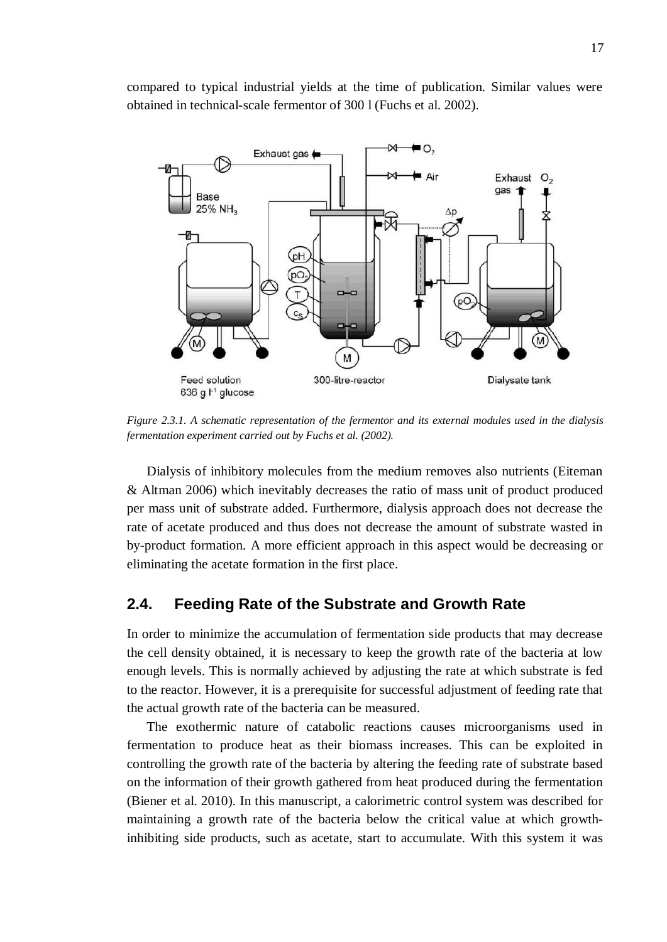compared to typical industrial yields at the time of publication. Similar values were obtained in technical-scale fermentor of 300 l (Fuchs et al. 2002).



*Figure 2.3.1. A schematic representation of the fermentor and its external modules used in the dialysis fermentation experiment carried out by Fuchs et al. (2002).* 

Dialysis of inhibitory molecules from the medium removes also nutrients (Eiteman & Altman 2006) which inevitably decreases the ratio of mass unit of product produced per mass unit of substrate added. Furthermore, dialysis approach does not decrease the rate of acetate produced and thus does not decrease the amount of substrate wasted in by-product formation. A more efficient approach in this aspect would be decreasing or eliminating the acetate formation in the first place.

#### <span id="page-22-0"></span>**2.4. Feeding Rate of the Substrate and Growth Rate**

In order to minimize the accumulation of fermentation side products that may decrease the cell density obtained, it is necessary to keep the growth rate of the bacteria at low enough levels. This is normally achieved by adjusting the rate at which substrate is fed to the reactor. However, it is a prerequisite for successful adjustment of feeding rate that the actual growth rate of the bacteria can be measured.

The exothermic nature of catabolic reactions causes microorganisms used in fermentation to produce heat as their biomass increases. This can be exploited in controlling the growth rate of the bacteria by altering the feeding rate of substrate based on the information of their growth gathered from heat produced during the fermentation (Biener et al. 2010). In this manuscript, a calorimetric control system was described for maintaining a growth rate of the bacteria below the critical value at which growthinhibiting side products, such as acetate, start to accumulate. With this system it was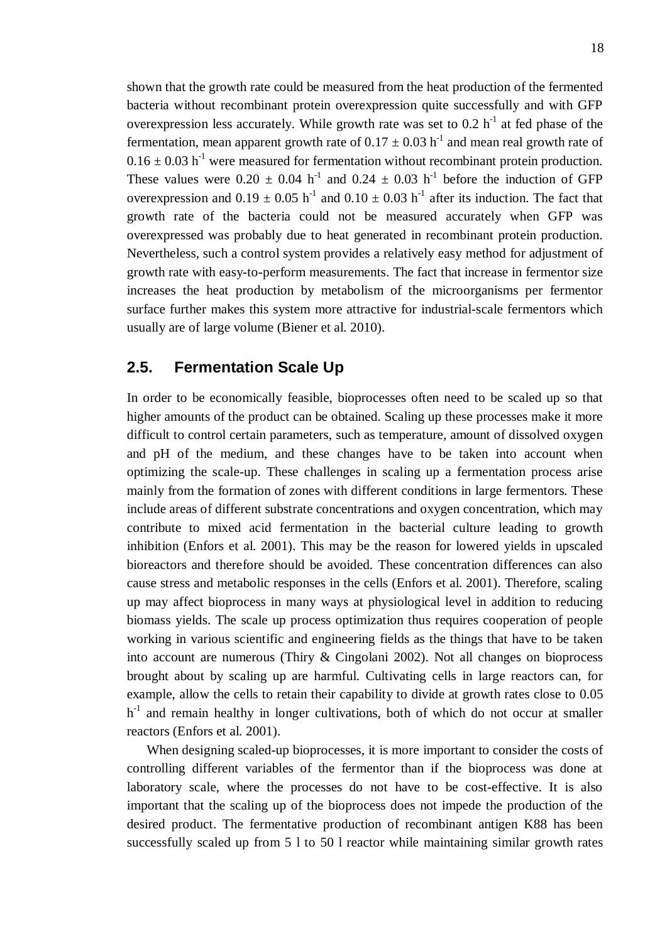shown that the growth rate could be measured from the heat production of the fermented bacteria without recombinant protein overexpression quite successfully and with GFP overexpression less accurately. While growth rate was set to  $0.2 h^{-1}$  at fed phase of the fermentation, mean apparent growth rate of  $0.17 \pm 0.03$  h<sup>-1</sup> and mean real growth rate of  $0.16 \pm 0.03$  h<sup>-1</sup> were measured for fermentation without recombinant protein production. These values were  $0.20 \pm 0.04$  h<sup>-1</sup> and  $0.24 \pm 0.03$  h<sup>-1</sup> before the induction of GFP overexpression and  $0.19 \pm 0.05$  h<sup>-1</sup> and  $0.10 \pm 0.03$  h<sup>-1</sup> after its induction. The fact that growth rate of the bacteria could not be measured accurately when GFP was overexpressed was probably due to heat generated in recombinant protein production. Nevertheless, such a control system provides a relatively easy method for adjustment of growth rate with easy-to-perform measurements. The fact that increase in fermentor size increases the heat production by metabolism of the microorganisms per fermentor surface further makes this system more attractive for industrial-scale fermentors which usually are of large volume (Biener et al. 2010).

#### <span id="page-23-0"></span>**2.5. Fermentation Scale Up**

In order to be economically feasible, bioprocesses often need to be scaled up so that higher amounts of the product can be obtained. Scaling up these processes make it more difficult to control certain parameters, such as temperature, amount of dissolved oxygen and pH of the medium, and these changes have to be taken into account when optimizing the scale-up. These challenges in scaling up a fermentation process arise mainly from the formation of zones with different conditions in large fermentors. These include areas of different substrate concentrations and oxygen concentration, which may contribute to mixed acid fermentation in the bacterial culture leading to growth inhibition (Enfors et al. 2001). This may be the reason for lowered yields in upscaled bioreactors and therefore should be avoided. These concentration differences can also cause stress and metabolic responses in the cells (Enfors et al. 2001). Therefore, scaling up may affect bioprocess in many ways at physiological level in addition to reducing biomass yields. The scale up process optimization thus requires cooperation of people working in various scientific and engineering fields as the things that have to be taken into account are numerous (Thiry & Cingolani 2002). Not all changes on bioprocess brought about by scaling up are harmful. Cultivating cells in large reactors can, for example, allow the cells to retain their capability to divide at growth rates close to 0.05  $h^{-1}$  and remain healthy in longer cultivations, both of which do not occur at smaller reactors (Enfors et al. 2001).

When designing scaled-up bioprocesses, it is more important to consider the costs of controlling different variables of the fermentor than if the bioprocess was done at laboratory scale, where the processes do not have to be cost-effective. It is also important that the scaling up of the bioprocess does not impede the production of the desired product. The fermentative production of recombinant antigen K88 has been successfully scaled up from 5 l to 50 l reactor while maintaining similar growth rates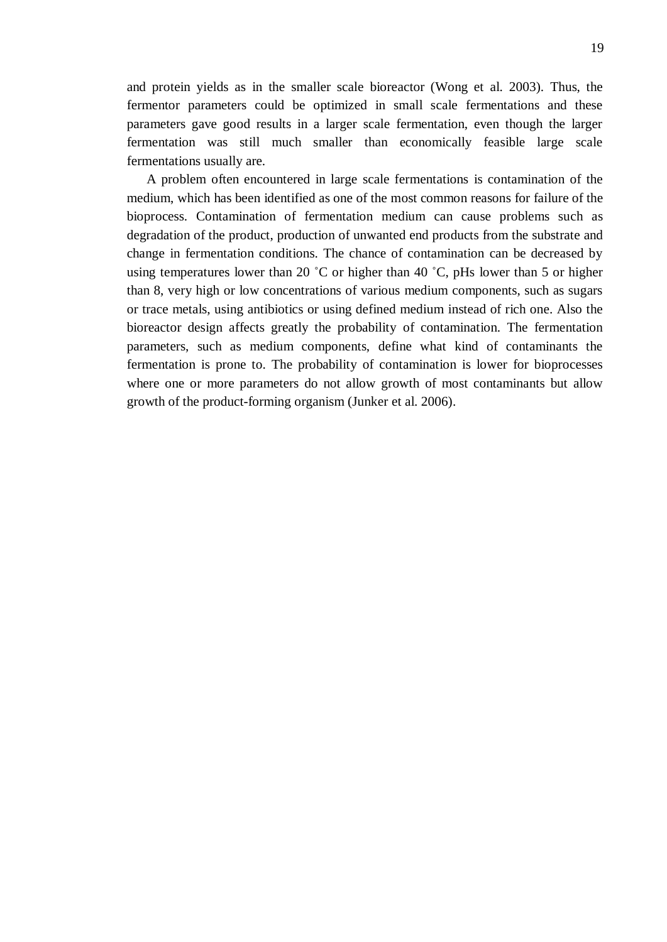and protein yields as in the smaller scale bioreactor (Wong et al. 2003). Thus, the fermentor parameters could be optimized in small scale fermentations and these parameters gave good results in a larger scale fermentation, even though the larger fermentation was still much smaller than economically feasible large scale fermentations usually are.

A problem often encountered in large scale fermentations is contamination of the medium, which has been identified as one of the most common reasons for failure of the bioprocess. Contamination of fermentation medium can cause problems such as degradation of the product, production of unwanted end products from the substrate and change in fermentation conditions. The chance of contamination can be decreased by using temperatures lower than 20 °C or higher than 40 °C, pHs lower than 5 or higher than 8, very high or low concentrations of various medium components, such as sugars or trace metals, using antibiotics or using defined medium instead of rich one. Also the bioreactor design affects greatly the probability of contamination. The fermentation parameters, such as medium components, define what kind of contaminants the fermentation is prone to. The probability of contamination is lower for bioprocesses where one or more parameters do not allow growth of most contaminants but allow growth of the product-forming organism (Junker et al. 2006).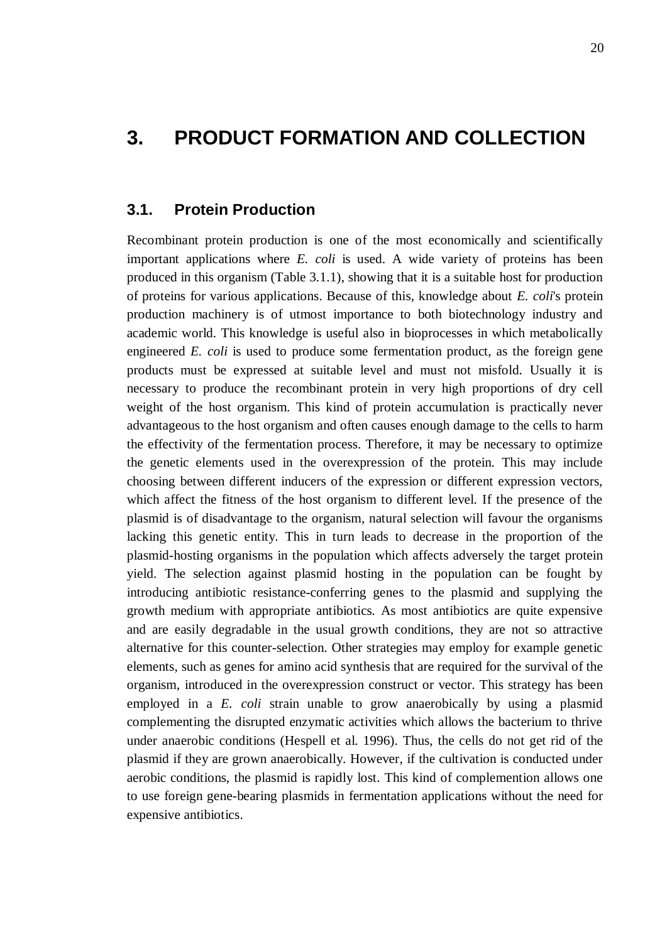## <span id="page-25-0"></span>**3. PRODUCT FORMATION AND COLLECTION**

#### **3.1. Protein Production**

<span id="page-25-1"></span>Recombinant protein production is one of the most economically and scientifically important applications where *E. coli* is used. A wide variety of proteins has been produced in this organism (Table 3.1.1), showing that it is a suitable host for production of proteins for various applications. Because of this, knowledge about *E. coli*'s protein production machinery is of utmost importance to both biotechnology industry and academic world. This knowledge is useful also in bioprocesses in which metabolically engineered *E. coli* is used to produce some fermentation product, as the foreign gene products must be expressed at suitable level and must not misfold. Usually it is necessary to produce the recombinant protein in very high proportions of dry cell weight of the host organism. This kind of protein accumulation is practically never advantageous to the host organism and often causes enough damage to the cells to harm the effectivity of the fermentation process. Therefore, it may be necessary to optimize the genetic elements used in the overexpression of the protein. This may include choosing between different inducers of the expression or different expression vectors, which affect the fitness of the host organism to different level. If the presence of the plasmid is of disadvantage to the organism, natural selection will favour the organisms lacking this genetic entity. This in turn leads to decrease in the proportion of the plasmid-hosting organisms in the population which affects adversely the target protein yield. The selection against plasmid hosting in the population can be fought by introducing antibiotic resistance-conferring genes to the plasmid and supplying the growth medium with appropriate antibiotics. As most antibiotics are quite expensive and are easily degradable in the usual growth conditions, they are not so attractive alternative for this counter-selection. Other strategies may employ for example genetic elements, such as genes for amino acid synthesis that are required for the survival of the organism, introduced in the overexpression construct or vector. This strategy has been employed in a *E. coli* strain unable to grow anaerobically by using a plasmid complementing the disrupted enzymatic activities which allows the bacterium to thrive under anaerobic conditions (Hespell et al. 1996). Thus, the cells do not get rid of the plasmid if they are grown anaerobically. However, if the cultivation is conducted under aerobic conditions, the plasmid is rapidly lost. This kind of complemention allows one to use foreign gene-bearing plasmids in fermentation applications without the need for expensive antibiotics.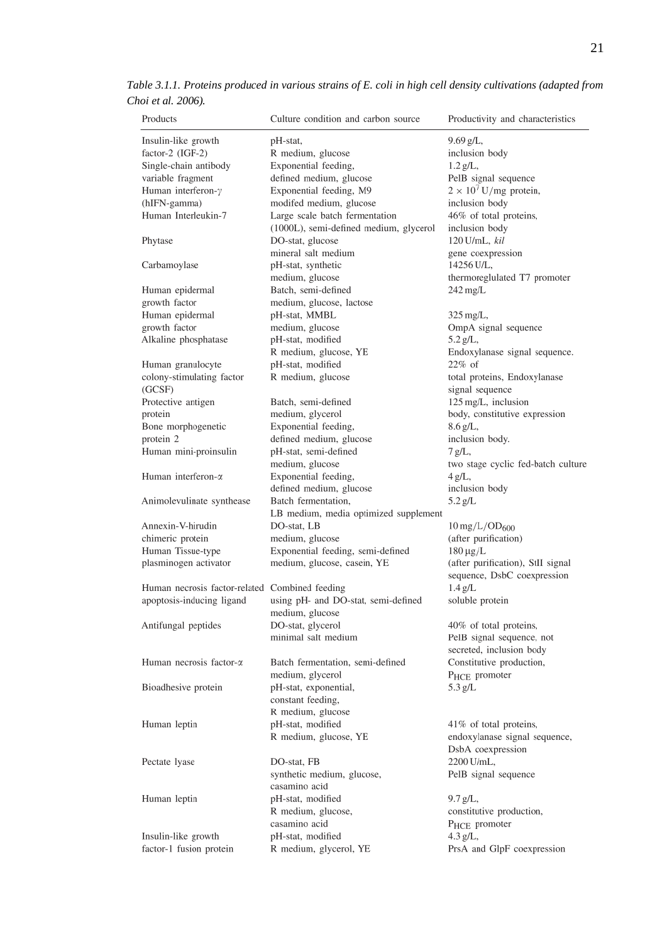| Products                                       | Culture condition and carbon source         | Productivity and characteristics       |
|------------------------------------------------|---------------------------------------------|----------------------------------------|
| Insulin-like growth                            | pH-stat,                                    | 9.69 g/L,                              |
| factor-2 (IGF-2)                               | R medium, glucose                           | inclusion body                         |
| Single-chain antibody                          | Exponential feeding,                        | $1.2 g/L$ ,                            |
| variable fragment                              | defined medium, glucose                     | PelB signal sequence                   |
| Human interferon-y                             | Exponential feeding, M9                     | $2 \times 10^7$ U/mg protein,          |
| (hIFN-gamma)                                   | modifed medium, glucose                     | inclusion body                         |
| Human Interleukin-7                            | Large scale batch fermentation              | 46% of total proteins,                 |
|                                                | (1000L), semi-defined medium, glycerol      | inclusion body                         |
| Phytase                                        | DO-stat, glucose                            | 120 U/mL, kil                          |
|                                                | mineral salt medium                         | gene coexpression                      |
| Carbamoylase                                   | pH-stat, synthetic                          | 14256 U/L,                             |
|                                                | medium, glucose                             | thermoreglulated T7 promoter           |
| Human epidermal                                | Batch, semi-defined                         | 242 mg/L                               |
| growth factor                                  | medium, glucose, lactose                    |                                        |
| Human epidermal                                | pH-stat, MMBL                               | 325 mg/L,                              |
| growth factor                                  | medium, glucose                             | OmpA signal sequence                   |
| Alkaline phosphatase                           | pH-stat, modified                           | 5.2 g/L,                               |
|                                                | R medium, glucose, YE                       | Endoxylanase signal sequence.          |
| Human granulocyte                              | pH-stat, modified                           | $22\%$ of                              |
| colony-stimulating factor                      | R medium, glucose                           | total proteins, Endoxylanase           |
| (GCSF)<br>Protective antigen                   | Batch, semi-defined                         | signal sequence<br>125 mg/L, inclusion |
|                                                | medium, glycerol                            | body, constitutive expression          |
| protein<br>Bone morphogenetic                  | Exponential feeding,                        | 8.6 g/L,                               |
| protein 2                                      | defined medium, glucose                     | inclusion body.                        |
| Human mini-proinsulin                          | pH-stat, semi-defined                       | 7 g/L,                                 |
|                                                | medium, glucose                             | two stage cyclic fed-batch culture     |
| Human interferon- $\alpha$                     | Exponential feeding,                        | 4 g/L,                                 |
|                                                | defined medium, glucose                     | inclusion body                         |
| Animolevulinate synthease                      | Batch fermentation,                         | 5.2 g/L                                |
|                                                | LB medium, media optimized supplement       |                                        |
| Annexin-V-hirudin                              | DO-stat, LB                                 | $10 \,\mathrm{mg/L/OD_{600}}$          |
| chimeric protein                               | medium, glucose                             | (after purification)                   |
| Human Tissue-type                              | Exponential feeding, semi-defined           | $180 \mu g/L$                          |
| plasminogen activator                          | medium, glucose, casein, YE                 | (after purification), StII signal      |
|                                                |                                             | sequence, DsbC coexpression            |
| Human necrosis factor-related Combined feeding |                                             | 1.4 g/L                                |
| apoptosis-inducing ligand                      | using pH- and DO-stat, semi-defined         | soluble protein                        |
|                                                | medium, glucose                             |                                        |
| Antifungal peptides                            | DO-stat, glycerol                           | 40% of total proteins,                 |
|                                                | minimal salt medium                         | PelB signal sequence, not              |
|                                                |                                             | secreted, inclusion body               |
| Human necrosis factor- $\alpha$                | Batch fermentation, semi-defined            | Constitutive production,               |
|                                                | medium, glycerol                            | P <sub>HCE</sub> promoter              |
| Bioadhesive protein                            | pH-stat, exponential,                       | 5.3 g/L                                |
|                                                | constant feeding,                           |                                        |
|                                                | R medium, glucose                           |                                        |
| Human leptin                                   | pH-stat, modified                           | 41% of total proteins,                 |
|                                                | R medium, glucose, YE                       | endoxylanase signal sequence,          |
|                                                |                                             | DsbA coexpression                      |
| Pectate lyase                                  | DO-stat, FB                                 | 2200 U/mL,                             |
|                                                | synthetic medium, glucose,                  | PelB signal sequence                   |
|                                                | casamino acid                               |                                        |
| Human leptin                                   | pH-stat, modified                           | $9.7 g/L$ ,                            |
|                                                | R medium, glucose,                          | constitutive production,               |
|                                                | casamino acid                               | P <sub>HCE</sub> promoter              |
| Insulin-like growth<br>factor-1 fusion protein | pH-stat, modified<br>R medium, glycerol, YE | 4.3 g/L,<br>PrsA and GlpF coexpression |
|                                                |                                             |                                        |

*Table 3.1.1. Proteins produced in various strains of E. coli in high cell density cultivations (adapted from Choi et al. 2006).*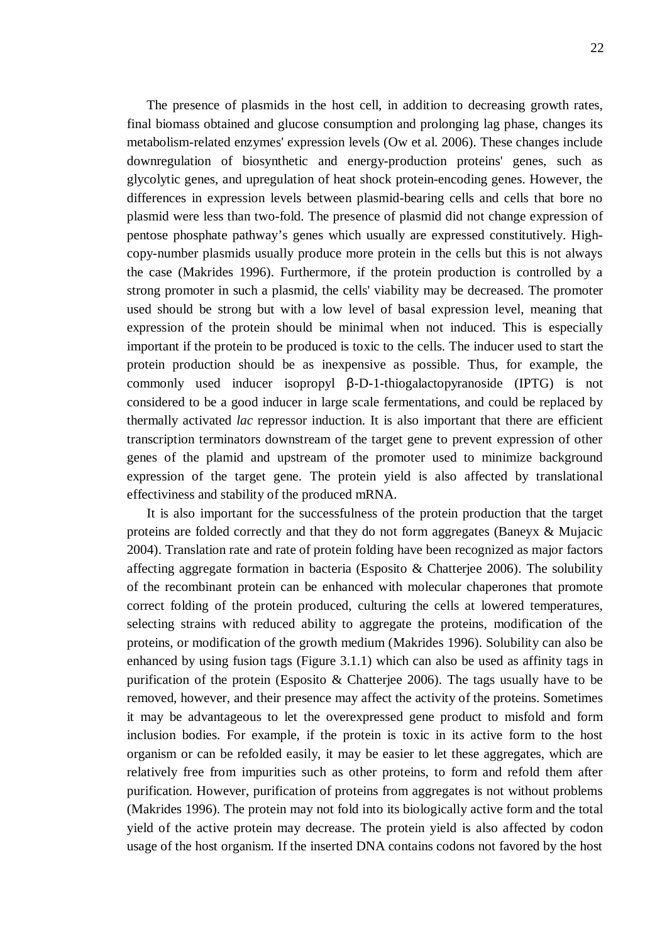22

The presence of plasmids in the host cell, in addition to decreasing growth rates, final biomass obtained and glucose consumption and prolonging lag phase, changes its metabolism-related enzymes' expression levels (Ow et al. 2006). These changes include downregulation of biosynthetic and energy-production proteins' genes, such as glycolytic genes, and upregulation of heat shock protein-encoding genes. However, the differences in expression levels between plasmid-bearing cells and cells that bore no plasmid were less than two-fold. The presence of plasmid did not change expression of pentose phosphate pathway's genes which usually are expressed constitutively. Highcopy-number plasmids usually produce more protein in the cells but this is not always the case (Makrides 1996). Furthermore, if the protein production is controlled by a strong promoter in such a plasmid, the cells' viability may be decreased. The promoter used should be strong but with a low level of basal expression level, meaning that expression of the protein should be minimal when not induced. This is especially important if the protein to be produced is toxic to the cells. The inducer used to start the protein production should be as inexpensive as possible. Thus, for example, the commonly used inducer isopropyl  $\beta$ -D-1-thiogalactopyranoside (IPTG) is not considered to be a good inducer in large scale fermentations, and could be replaced by thermally activated *lac* repressor induction. It is also important that there are efficient transcription terminators downstream of the target gene to prevent expression of other genes of the plamid and upstream of the promoter used to minimize background expression of the target gene. The protein yield is also affected by translational effectiviness and stability of the produced mRNA.

It is also important for the successfulness of the protein production that the target proteins are folded correctly and that they do not form aggregates (Baneyx & Mujacic 2004). Translation rate and rate of protein folding have been recognized as major factors affecting aggregate formation in bacteria (Esposito & Chatterjee 2006). The solubility of the recombinant protein can be enhanced with molecular chaperones that promote correct folding of the protein produced, culturing the cells at lowered temperatures, selecting strains with reduced ability to aggregate the proteins, modification of the proteins, or modification of the growth medium (Makrides 1996). Solubility can also be enhanced by using fusion tags (Figure 3.1.1) which can also be used as affinity tags in purification of the protein (Esposito & Chatterjee 2006). The tags usually have to be removed, however, and their presence may affect the activity of the proteins. Sometimes it may be advantageous to let the overexpressed gene product to misfold and form inclusion bodies. For example, if the protein is toxic in its active form to the host organism or can be refolded easily, it may be easier to let these aggregates, which are relatively free from impurities such as other proteins, to form and refold them after purification. However, purification of proteins from aggregates is not without problems (Makrides 1996). The protein may not fold into its biologically active form and the total yield of the active protein may decrease. The protein yield is also affected by codon usage of the host organism. If the inserted DNA contains codons not favored by the host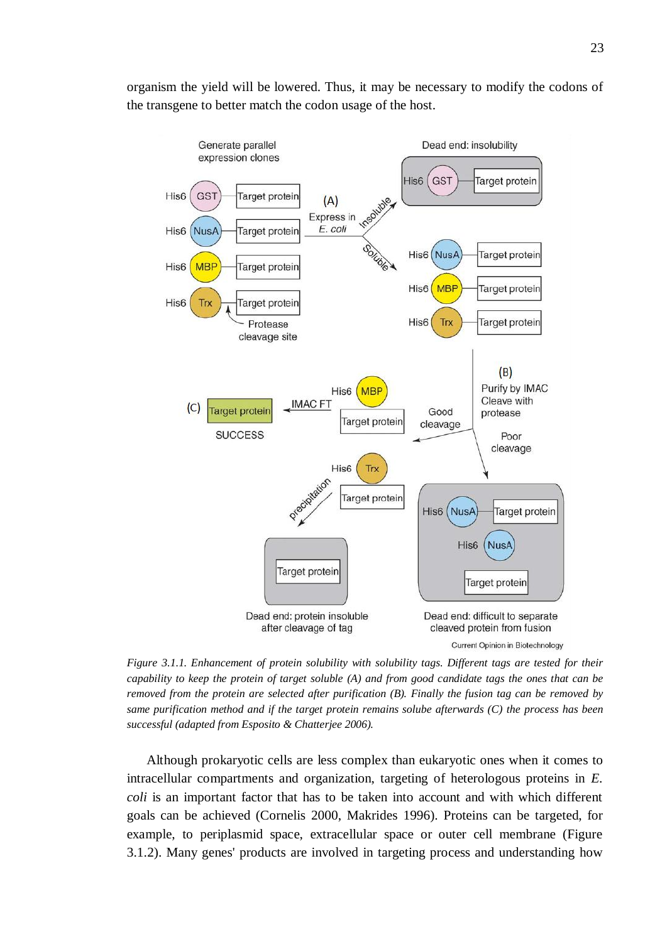

organism the yield will be lowered. Thus, it may be necessary to modify the codons of the transgene to better match the codon usage of the host.

*Figure 3.1.1. Enhancement of protein solubility with solubility tags. Different tags are tested for their capability to keep the protein of target soluble (A) and from good candidate tags the ones that can be removed from the protein are selected after purification (B). Finally the fusion tag can be removed by same purification method and if the target protein remains solube afterwards (C) the process has been successful (adapted from Esposito & Chatterjee 2006).* 

Although prokaryotic cells are less complex than eukaryotic ones when it comes to intracellular compartments and organization, targeting of heterologous proteins in *E. coli* is an important factor that has to be taken into account and with which different goals can be achieved (Cornelis 2000, Makrides 1996). Proteins can be targeted, for example, to periplasmid space, extracellular space or outer cell membrane (Figure 3.1.2). Many genes' products are involved in targeting process and understanding how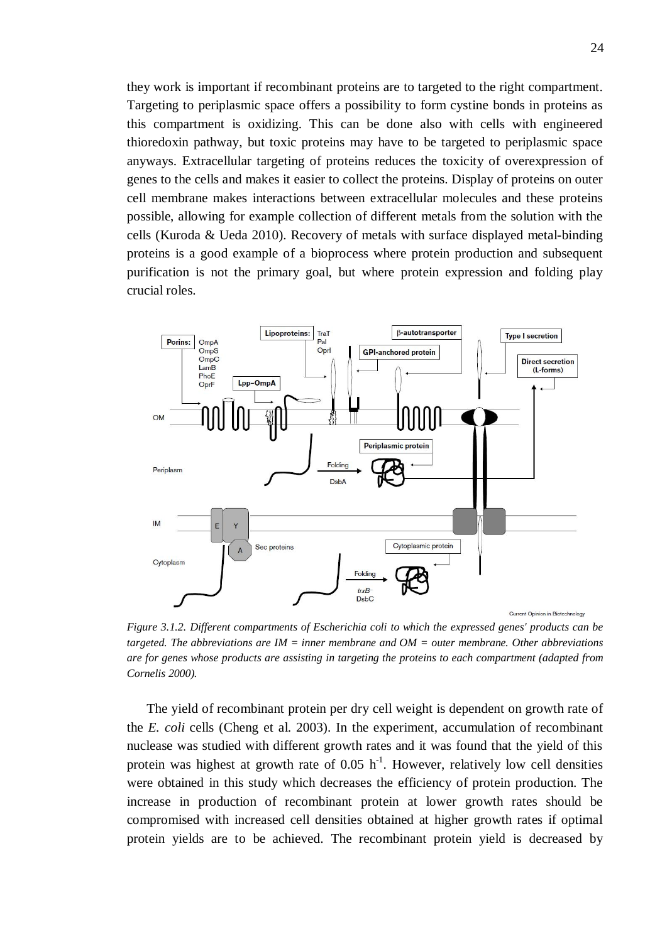they work is important if recombinant proteins are to targeted to the right compartment. Targeting to periplasmic space offers a possibility to form cystine bonds in proteins as this compartment is oxidizing. This can be done also with cells with engineered thioredoxin pathway, but toxic proteins may have to be targeted to periplasmic space anyways. Extracellular targeting of proteins reduces the toxicity of overexpression of genes to the cells and makes it easier to collect the proteins. Display of proteins on outer cell membrane makes interactions between extracellular molecules and these proteins possible, allowing for example collection of different metals from the solution with the cells (Kuroda & Ueda 2010). Recovery of metals with surface displayed metal-binding proteins is a good example of a bioprocess where protein production and subsequent purification is not the primary goal, but where protein expression and folding play crucial roles.



*Figure 3.1.2. Different compartments of Escherichia coli to which the expressed genes' products can be targeted. The abbreviations are IM = inner membrane and OM = outer membrane. Other abbreviations are for genes whose products are assisting in targeting the proteins to each compartment (adapted from Cornelis 2000).* 

The yield of recombinant protein per dry cell weight is dependent on growth rate of the *E. coli* cells (Cheng et al. 2003). In the experiment, accumulation of recombinant nuclease was studied with different growth rates and it was found that the yield of this protein was highest at growth rate of  $0.05$  h<sup>-1</sup>. However, relatively low cell densities were obtained in this study which decreases the efficiency of protein production. The increase in production of recombinant protein at lower growth rates should be compromised with increased cell densities obtained at higher growth rates if optimal protein yields are to be achieved. The recombinant protein yield is decreased by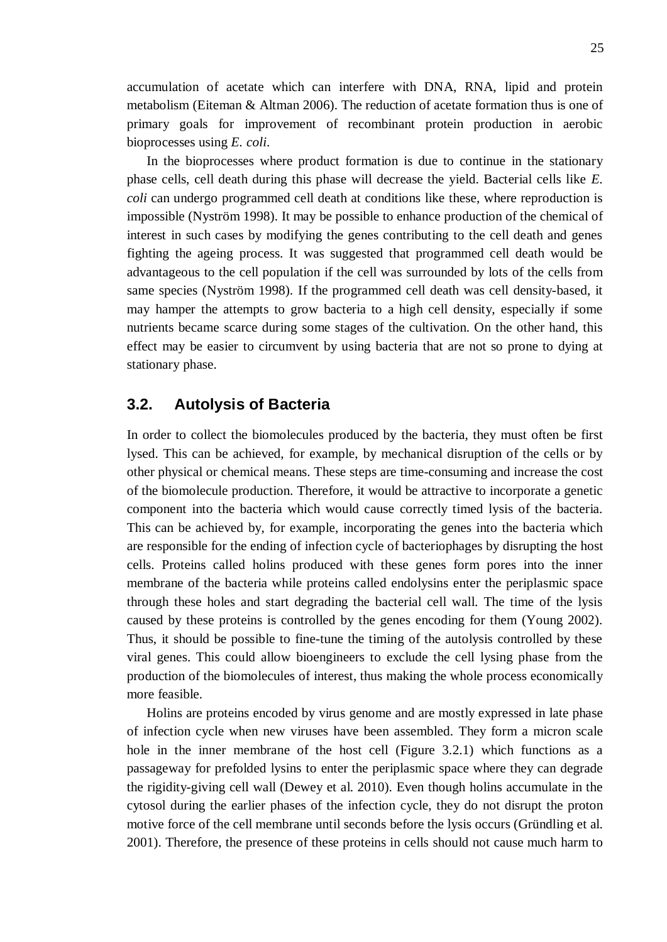accumulation of acetate which can interfere with DNA, RNA, lipid and protein metabolism (Eiteman & Altman 2006). The reduction of acetate formation thus is one of primary goals for improvement of recombinant protein production in aerobic bioprocesses using *E. coli*.

In the bioprocesses where product formation is due to continue in the stationary phase cells, cell death during this phase will decrease the yield. Bacterial cells like *E. coli* can undergo programmed cell death at conditions like these, where reproduction is impossible (Nyström 1998). It may be possible to enhance production of the chemical of interest in such cases by modifying the genes contributing to the cell death and genes fighting the ageing process. It was suggested that programmed cell death would be advantageous to the cell population if the cell was surrounded by lots of the cells from same species (Nyström 1998). If the programmed cell death was cell density-based, it may hamper the attempts to grow bacteria to a high cell density, especially if some nutrients became scarce during some stages of the cultivation. On the other hand, this effect may be easier to circumvent by using bacteria that are not so prone to dying at stationary phase.

#### <span id="page-30-0"></span>**3.2. Autolysis of Bacteria**

In order to collect the biomolecules produced by the bacteria, they must often be first lysed. This can be achieved, for example, by mechanical disruption of the cells or by other physical or chemical means. These steps are time-consuming and increase the cost of the biomolecule production. Therefore, it would be attractive to incorporate a genetic component into the bacteria which would cause correctly timed lysis of the bacteria. This can be achieved by, for example, incorporating the genes into the bacteria which are responsible for the ending of infection cycle of bacteriophages by disrupting the host cells. Proteins called holins produced with these genes form pores into the inner membrane of the bacteria while proteins called endolysins enter the periplasmic space through these holes and start degrading the bacterial cell wall. The time of the lysis caused by these proteins is controlled by the genes encoding for them (Young 2002). Thus, it should be possible to fine-tune the timing of the autolysis controlled by these viral genes. This could allow bioengineers to exclude the cell lysing phase from the production of the biomolecules of interest, thus making the whole process economically more feasible.

Holins are proteins encoded by virus genome and are mostly expressed in late phase of infection cycle when new viruses have been assembled. They form a micron scale hole in the inner membrane of the host cell (Figure 3.2.1) which functions as a passageway for prefolded lysins to enter the periplasmic space where they can degrade the rigidity-giving cell wall (Dewey et al. 2010). Even though holins accumulate in the cytosol during the earlier phases of the infection cycle, they do not disrupt the proton motive force of the cell membrane until seconds before the lysis occurs (Gründling et al. 2001). Therefore, the presence of these proteins in cells should not cause much harm to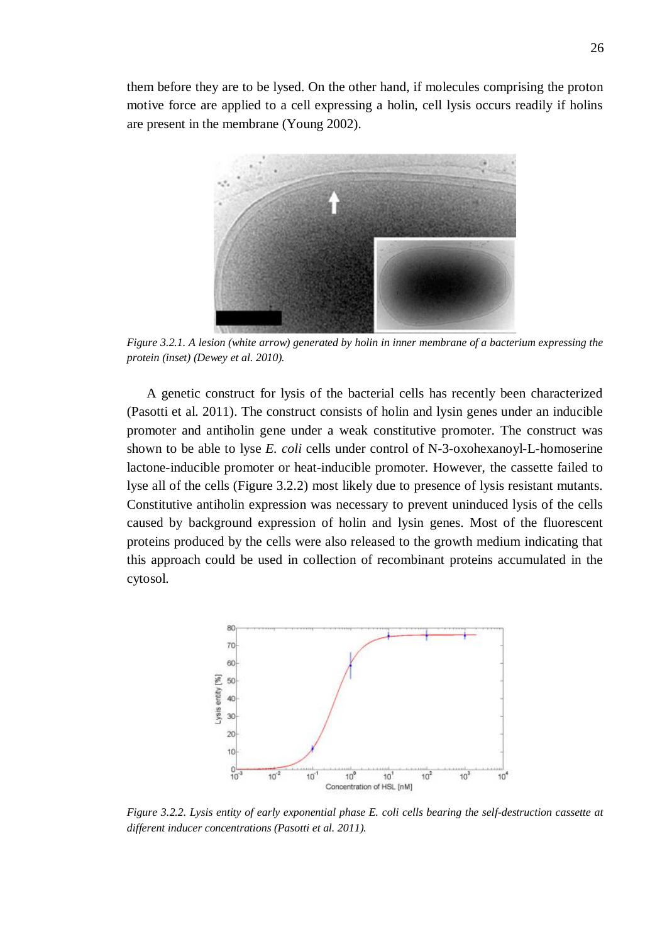them before they are to be lysed. On the other hand, if molecules comprising the proton motive force are applied to a cell expressing a holin, cell lysis occurs readily if holins are present in the membrane (Young 2002).



*Figure 3.2.1. A lesion (white arrow) generated by holin in inner membrane of a bacterium expressing the protein (inset) (Dewey et al. 2010).* 

A genetic construct for lysis of the bacterial cells has recently been characterized (Pasotti et al. 2011). The construct consists of holin and lysin genes under an inducible promoter and antiholin gene under a weak constitutive promoter. The construct was shown to be able to lyse *E. coli* cells under control of N-3-oxohexanoyl-L-homoserine lactone-inducible promoter or heat-inducible promoter. However, the cassette failed to lyse all of the cells (Figure 3.2.2) most likely due to presence of lysis resistant mutants. Constitutive antiholin expression was necessary to prevent uninduced lysis of the cells caused by background expression of holin and lysin genes. Most of the fluorescent proteins produced by the cells were also released to the growth medium indicating that this approach could be used in collection of recombinant proteins accumulated in the cytosol.



*Figure 3.2.2. Lysis entity of early exponential phase E. coli cells bearing the self-destruction cassette at different inducer concentrations (Pasotti et al. 2011).*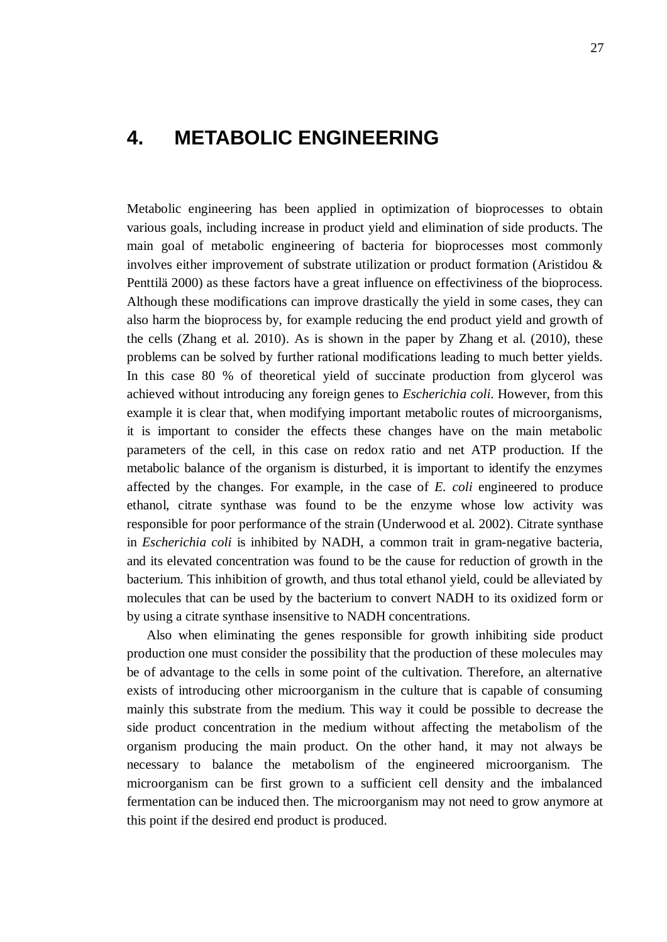## <span id="page-32-0"></span>**4. METABOLIC ENGINEERING**

Metabolic engineering has been applied in optimization of bioprocesses to obtain various goals, including increase in product yield and elimination of side products. The main goal of metabolic engineering of bacteria for bioprocesses most commonly involves either improvement of substrate utilization or product formation (Aristidou & Penttilä 2000) as these factors have a great influence on effectiviness of the bioprocess. Although these modifications can improve drastically the yield in some cases, they can also harm the bioprocess by, for example reducing the end product yield and growth of the cells (Zhang et al. 2010). As is shown in the paper by Zhang et al. (2010), these problems can be solved by further rational modifications leading to much better yields. In this case 80 % of theoretical yield of succinate production from glycerol was achieved without introducing any foreign genes to *Escherichia coli*. However, from this example it is clear that, when modifying important metabolic routes of microorganisms, it is important to consider the effects these changes have on the main metabolic parameters of the cell, in this case on redox ratio and net ATP production. If the metabolic balance of the organism is disturbed, it is important to identify the enzymes affected by the changes. For example, in the case of *E. coli* engineered to produce ethanol, citrate synthase was found to be the enzyme whose low activity was responsible for poor performance of the strain (Underwood et al. 2002). Citrate synthase in *Escherichia coli* is inhibited by NADH, a common trait in gram-negative bacteria, and its elevated concentration was found to be the cause for reduction of growth in the bacterium. This inhibition of growth, and thus total ethanol yield, could be alleviated by molecules that can be used by the bacterium to convert NADH to its oxidized form or by using a citrate synthase insensitive to NADH concentrations.

Also when eliminating the genes responsible for growth inhibiting side product production one must consider the possibility that the production of these molecules may be of advantage to the cells in some point of the cultivation. Therefore, an alternative exists of introducing other microorganism in the culture that is capable of consuming mainly this substrate from the medium. This way it could be possible to decrease the side product concentration in the medium without affecting the metabolism of the organism producing the main product. On the other hand, it may not always be necessary to balance the metabolism of the engineered microorganism. The microorganism can be first grown to a sufficient cell density and the imbalanced fermentation can be induced then. The microorganism may not need to grow anymore at this point if the desired end product is produced.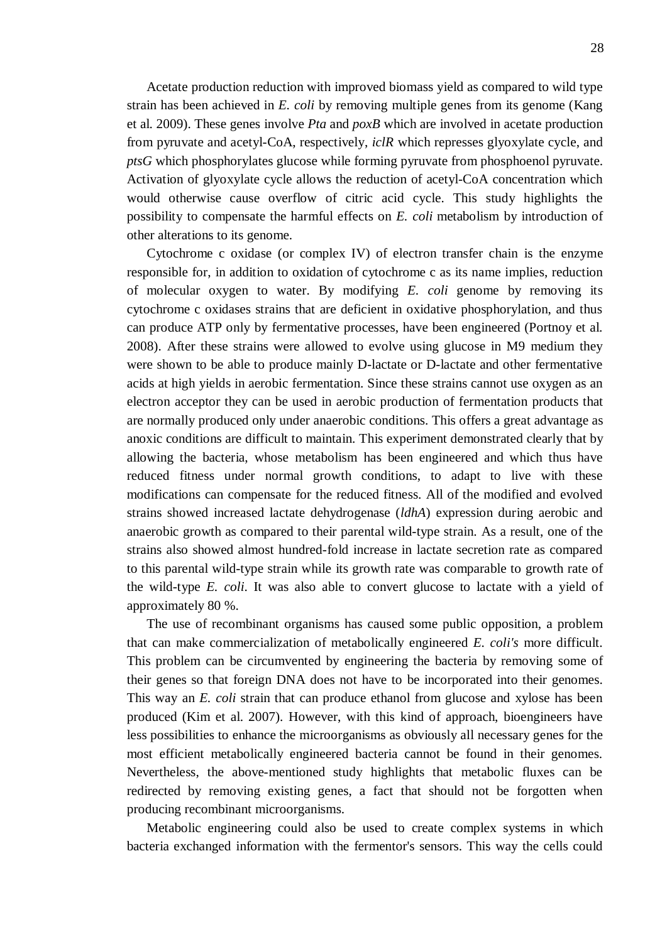Acetate production reduction with improved biomass yield as compared to wild type strain has been achieved in *E. coli* by removing multiple genes from its genome (Kang et al. 2009). These genes involve *Pta* and *poxB* which are involved in acetate production from pyruvate and acetyl-CoA, respectively, *iclR* which represses glyoxylate cycle, and *ptsG* which phosphorylates glucose while forming pyruvate from phosphoenol pyruvate. Activation of glyoxylate cycle allows the reduction of acetyl-CoA concentration which would otherwise cause overflow of citric acid cycle. This study highlights the possibility to compensate the harmful effects on *E. coli* metabolism by introduction of other alterations to its genome.

Cytochrome c oxidase (or complex IV) of electron transfer chain is the enzyme responsible for, in addition to oxidation of cytochrome c as its name implies, reduction of molecular oxygen to water. By modifying *E. coli* genome by removing its cytochrome c oxidases strains that are deficient in oxidative phosphorylation, and thus can produce ATP only by fermentative processes, have been engineered (Portnoy et al. 2008). After these strains were allowed to evolve using glucose in M9 medium they were shown to be able to produce mainly D-lactate or D-lactate and other fermentative acids at high yields in aerobic fermentation. Since these strains cannot use oxygen as an electron acceptor they can be used in aerobic production of fermentation products that are normally produced only under anaerobic conditions. This offers a great advantage as anoxic conditions are difficult to maintain. This experiment demonstrated clearly that by allowing the bacteria, whose metabolism has been engineered and which thus have reduced fitness under normal growth conditions, to adapt to live with these modifications can compensate for the reduced fitness. All of the modified and evolved strains showed increased lactate dehydrogenase (*ldhA*) expression during aerobic and anaerobic growth as compared to their parental wild-type strain. As a result, one of the strains also showed almost hundred-fold increase in lactate secretion rate as compared to this parental wild-type strain while its growth rate was comparable to growth rate of the wild-type *E. coli*. It was also able to convert glucose to lactate with a yield of approximately 80 %.

The use of recombinant organisms has caused some public opposition, a problem that can make commercialization of metabolically engineered *E. coli's* more difficult. This problem can be circumvented by engineering the bacteria by removing some of their genes so that foreign DNA does not have to be incorporated into their genomes. This way an *E. coli* strain that can produce ethanol from glucose and xylose has been produced (Kim et al. 2007). However, with this kind of approach, bioengineers have less possibilities to enhance the microorganisms as obviously all necessary genes for the most efficient metabolically engineered bacteria cannot be found in their genomes. Nevertheless, the above-mentioned study highlights that metabolic fluxes can be redirected by removing existing genes, a fact that should not be forgotten when producing recombinant microorganisms.

Metabolic engineering could also be used to create complex systems in which bacteria exchanged information with the fermentor's sensors. This way the cells could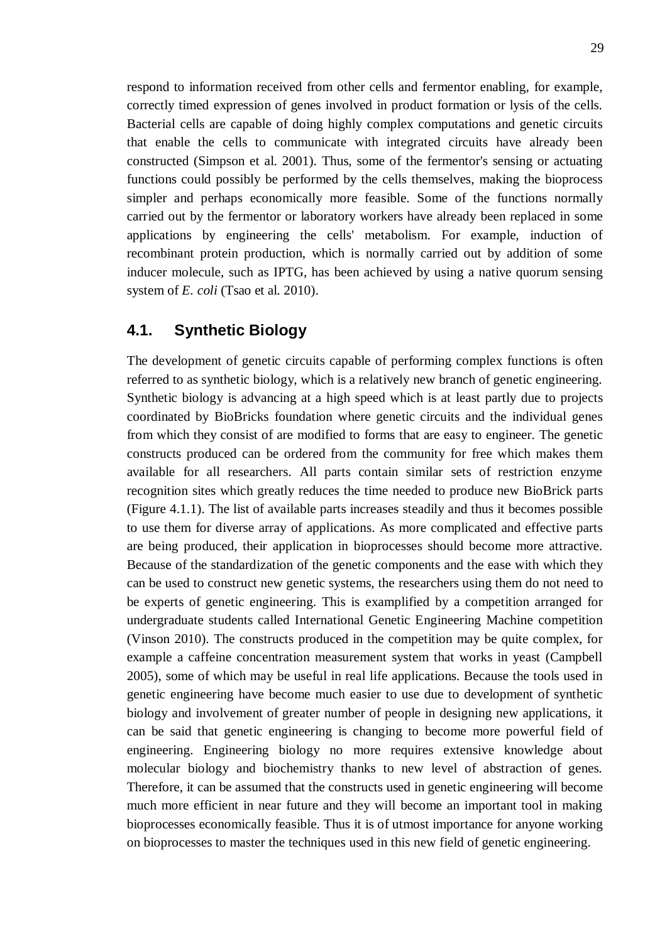respond to information received from other cells and fermentor enabling, for example, correctly timed expression of genes involved in product formation or lysis of the cells. Bacterial cells are capable of doing highly complex computations and genetic circuits that enable the cells to communicate with integrated circuits have already been constructed (Simpson et al. 2001). Thus, some of the fermentor's sensing or actuating functions could possibly be performed by the cells themselves, making the bioprocess simpler and perhaps economically more feasible. Some of the functions normally carried out by the fermentor or laboratory workers have already been replaced in some applications by engineering the cells' metabolism. For example, induction of recombinant protein production, which is normally carried out by addition of some inducer molecule, such as IPTG, has been achieved by using a native quorum sensing system of *E. coli* (Tsao et al. 2010).

#### <span id="page-34-0"></span>**4.1. Synthetic Biology**

The development of genetic circuits capable of performing complex functions is often referred to as synthetic biology, which is a relatively new branch of genetic engineering. Synthetic biology is advancing at a high speed which is at least partly due to projects coordinated by BioBricks foundation where genetic circuits and the individual genes from which they consist of are modified to forms that are easy to engineer. The genetic constructs produced can be ordered from the community for free which makes them available for all researchers. All parts contain similar sets of restriction enzyme recognition sites which greatly reduces the time needed to produce new BioBrick parts (Figure 4.1.1). The list of available parts increases steadily and thus it becomes possible to use them for diverse array of applications. As more complicated and effective parts are being produced, their application in bioprocesses should become more attractive. Because of the standardization of the genetic components and the ease with which they can be used to construct new genetic systems, the researchers using them do not need to be experts of genetic engineering. This is examplified by a competition arranged for undergraduate students called International Genetic Engineering Machine competition (Vinson 2010). The constructs produced in the competition may be quite complex, for example a caffeine concentration measurement system that works in yeast (Campbell 2005), some of which may be useful in real life applications. Because the tools used in genetic engineering have become much easier to use due to development of synthetic biology and involvement of greater number of people in designing new applications, it can be said that genetic engineering is changing to become more powerful field of engineering. Engineering biology no more requires extensive knowledge about molecular biology and biochemistry thanks to new level of abstraction of genes. Therefore, it can be assumed that the constructs used in genetic engineering will become much more efficient in near future and they will become an important tool in making bioprocesses economically feasible. Thus it is of utmost importance for anyone working on bioprocesses to master the techniques used in this new field of genetic engineering.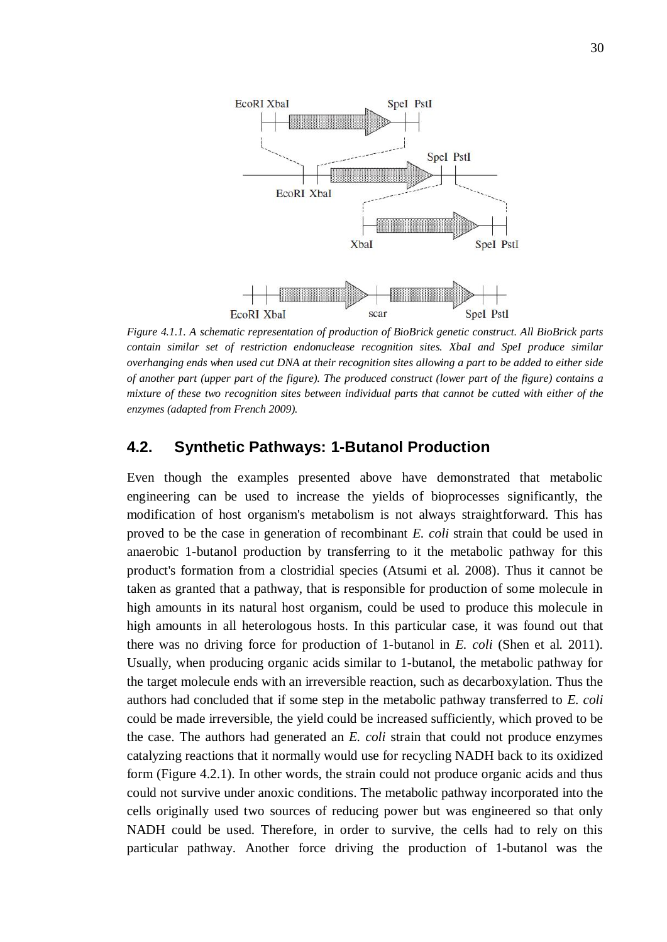

*Figure 4.1.1. A schematic representation of production of BioBrick genetic construct. All BioBrick parts contain similar set of restriction endonuclease recognition sites. XbaI and SpeI produce similar overhanging ends when used cut DNA at their recognition sites allowing a part to be added to either side of another part (upper part of the figure). The produced construct (lower part of the figure) contains a mixture of these two recognition sites between individual parts that cannot be cutted with either of the enzymes (adapted from French 2009).* 

#### <span id="page-35-0"></span>**4.2. Synthetic Pathways: 1-Butanol Production**

Even though the examples presented above have demonstrated that metabolic engineering can be used to increase the yields of bioprocesses significantly, the modification of host organism's metabolism is not always straightforward. This has proved to be the case in generation of recombinant *E. coli* strain that could be used in anaerobic 1-butanol production by transferring to it the metabolic pathway for this product's formation from a clostridial species (Atsumi et al. 2008). Thus it cannot be taken as granted that a pathway, that is responsible for production of some molecule in high amounts in its natural host organism, could be used to produce this molecule in high amounts in all heterologous hosts. In this particular case, it was found out that there was no driving force for production of 1-butanol in *E. coli* (Shen et al. 2011). Usually, when producing organic acids similar to 1-butanol, the metabolic pathway for the target molecule ends with an irreversible reaction, such as decarboxylation. Thus the authors had concluded that if some step in the metabolic pathway transferred to *E. coli* could be made irreversible, the yield could be increased sufficiently, which proved to be the case. The authors had generated an *E. coli* strain that could not produce enzymes catalyzing reactions that it normally would use for recycling NADH back to its oxidized form (Figure 4.2.1). In other words, the strain could not produce organic acids and thus could not survive under anoxic conditions. The metabolic pathway incorporated into the cells originally used two sources of reducing power but was engineered so that only NADH could be used. Therefore, in order to survive, the cells had to rely on this particular pathway. Another force driving the production of 1-butanol was the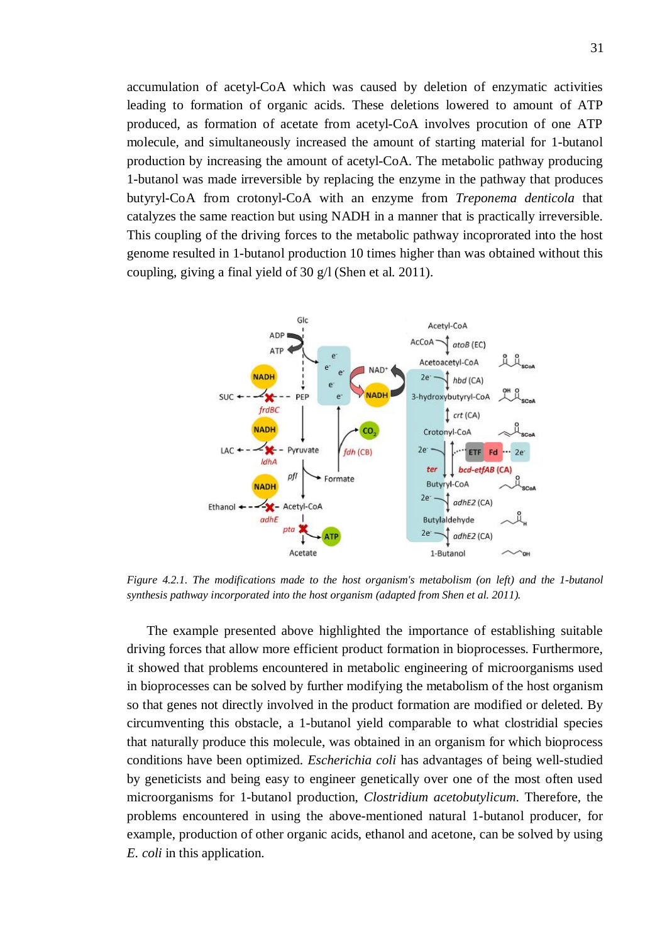accumulation of acetyl-CoA which was caused by deletion of enzymatic activities leading to formation of organic acids. These deletions lowered to amount of ATP produced, as formation of acetate from acetyl-CoA involves procution of one ATP molecule, and simultaneously increased the amount of starting material for 1-butanol production by increasing the amount of acetyl-CoA. The metabolic pathway producing 1-butanol was made irreversible by replacing the enzyme in the pathway that produces butyryl-CoA from crotonyl-CoA with an enzyme from *Treponema denticola* that catalyzes the same reaction but using NADH in a manner that is practically irreversible. This coupling of the driving forces to the metabolic pathway incoprorated into the host genome resulted in 1-butanol production 10 times higher than was obtained without this coupling, giving a final yield of 30 g/l (Shen et al. 2011).



*Figure 4.2.1. The modifications made to the host organism's metabolism (on left) and the 1-butanol synthesis pathway incorporated into the host organism (adapted from Shen et al. 2011).* 

The example presented above highlighted the importance of establishing suitable driving forces that allow more efficient product formation in bioprocesses. Furthermore, it showed that problems encountered in metabolic engineering of microorganisms used in bioprocesses can be solved by further modifying the metabolism of the host organism so that genes not directly involved in the product formation are modified or deleted. By circumventing this obstacle, a 1-butanol yield comparable to what clostridial species that naturally produce this molecule, was obtained in an organism for which bioprocess conditions have been optimized. *Escherichia coli* has advantages of being well-studied by geneticists and being easy to engineer genetically over one of the most often used microorganisms for 1-butanol production, *Clostridium acetobutylicum*. Therefore, the problems encountered in using the above-mentioned natural 1-butanol producer, for example, production of other organic acids, ethanol and acetone, can be solved by using *E. coli* in this application.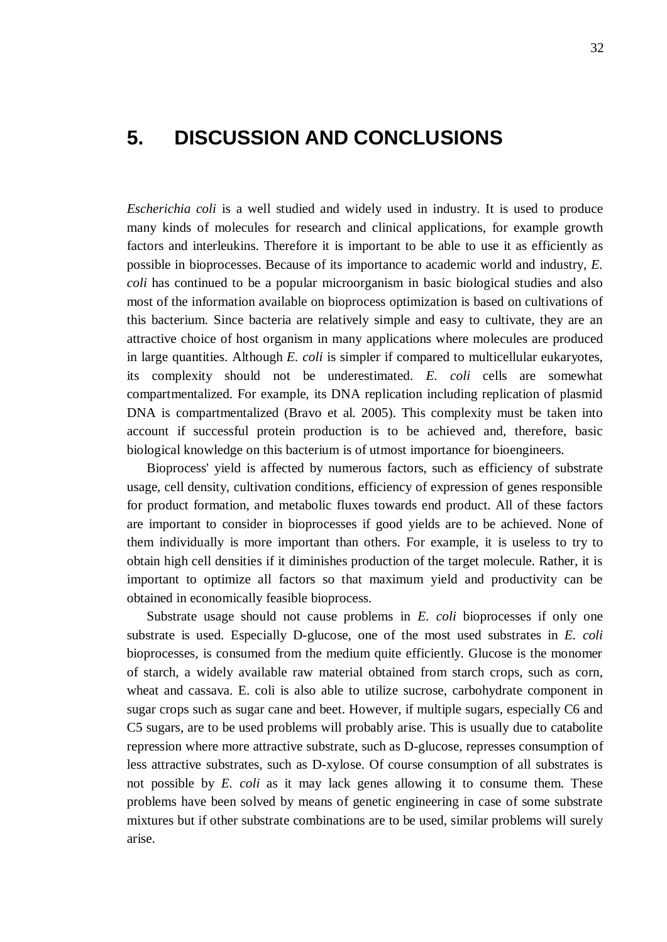## <span id="page-37-0"></span>**5. DISCUSSION AND CONCLUSIONS**

*Escherichia coli* is a well studied and widely used in industry. It is used to produce many kinds of molecules for research and clinical applications, for example growth factors and interleukins. Therefore it is important to be able to use it as efficiently as possible in bioprocesses. Because of its importance to academic world and industry, *E. coli* has continued to be a popular microorganism in basic biological studies and also most of the information available on bioprocess optimization is based on cultivations of this bacterium. Since bacteria are relatively simple and easy to cultivate, they are an attractive choice of host organism in many applications where molecules are produced in large quantities. Although *E. coli* is simpler if compared to multicellular eukaryotes, its complexity should not be underestimated. *E. coli* cells are somewhat compartmentalized. For example, its DNA replication including replication of plasmid DNA is compartmentalized (Bravo et al. 2005). This complexity must be taken into account if successful protein production is to be achieved and, therefore, basic biological knowledge on this bacterium is of utmost importance for bioengineers.

Bioprocess' yield is affected by numerous factors, such as efficiency of substrate usage, cell density, cultivation conditions, efficiency of expression of genes responsible for product formation, and metabolic fluxes towards end product. All of these factors are important to consider in bioprocesses if good yields are to be achieved. None of them individually is more important than others. For example, it is useless to try to obtain high cell densities if it diminishes production of the target molecule. Rather, it is important to optimize all factors so that maximum yield and productivity can be obtained in economically feasible bioprocess.

Substrate usage should not cause problems in *E. coli* bioprocesses if only one substrate is used. Especially D-glucose, one of the most used substrates in *E. coli* bioprocesses, is consumed from the medium quite efficiently. Glucose is the monomer of starch, a widely available raw material obtained from starch crops, such as corn, wheat and cassava. E. coli is also able to utilize sucrose, carbohydrate component in sugar crops such as sugar cane and beet. However, if multiple sugars, especially C6 and C5 sugars, are to be used problems will probably arise. This is usually due to catabolite repression where more attractive substrate, such as D-glucose, represses consumption of less attractive substrates, such as D-xylose. Of course consumption of all substrates is not possible by *E. coli* as it may lack genes allowing it to consume them. These problems have been solved by means of genetic engineering in case of some substrate mixtures but if other substrate combinations are to be used, similar problems will surely arise.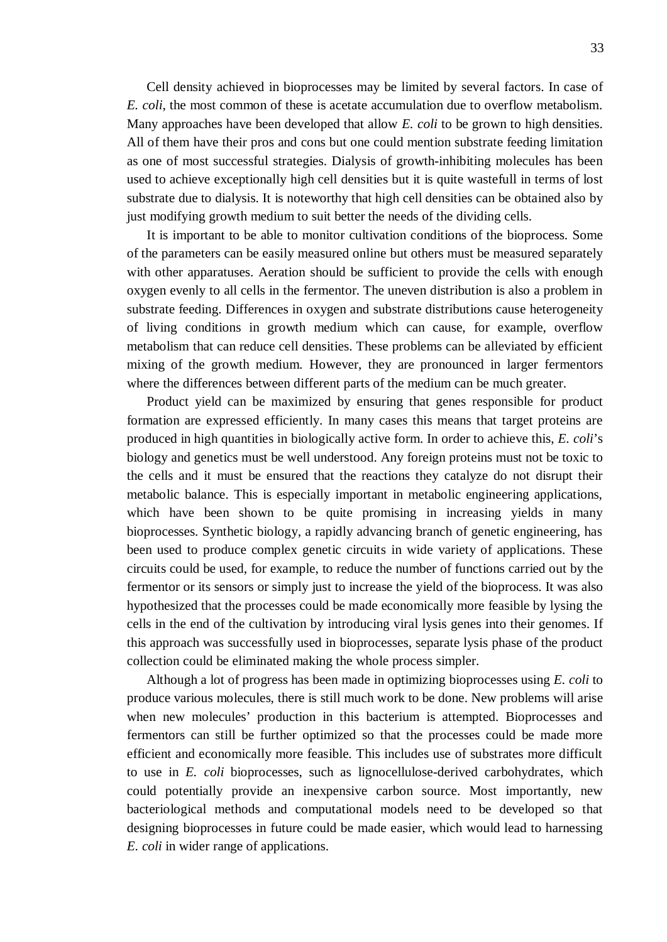Cell density achieved in bioprocesses may be limited by several factors. In case of *E. coli*, the most common of these is acetate accumulation due to overflow metabolism. Many approaches have been developed that allow *E. coli* to be grown to high densities. All of them have their pros and cons but one could mention substrate feeding limitation as one of most successful strategies. Dialysis of growth-inhibiting molecules has been used to achieve exceptionally high cell densities but it is quite wastefull in terms of lost substrate due to dialysis. It is noteworthy that high cell densities can be obtained also by just modifying growth medium to suit better the needs of the dividing cells.

It is important to be able to monitor cultivation conditions of the bioprocess. Some of the parameters can be easily measured online but others must be measured separately with other apparatuses. Aeration should be sufficient to provide the cells with enough oxygen evenly to all cells in the fermentor. The uneven distribution is also a problem in substrate feeding. Differences in oxygen and substrate distributions cause heterogeneity of living conditions in growth medium which can cause, for example, overflow metabolism that can reduce cell densities. These problems can be alleviated by efficient mixing of the growth medium. However, they are pronounced in larger fermentors where the differences between different parts of the medium can be much greater.

Product yield can be maximized by ensuring that genes responsible for product formation are expressed efficiently. In many cases this means that target proteins are produced in high quantities in biologically active form. In order to achieve this, *E. coli*'s biology and genetics must be well understood. Any foreign proteins must not be toxic to the cells and it must be ensured that the reactions they catalyze do not disrupt their metabolic balance. This is especially important in metabolic engineering applications, which have been shown to be quite promising in increasing yields in many bioprocesses. Synthetic biology, a rapidly advancing branch of genetic engineering, has been used to produce complex genetic circuits in wide variety of applications. These circuits could be used, for example, to reduce the number of functions carried out by the fermentor or its sensors or simply just to increase the yield of the bioprocess. It was also hypothesized that the processes could be made economically more feasible by lysing the cells in the end of the cultivation by introducing viral lysis genes into their genomes. If this approach was successfully used in bioprocesses, separate lysis phase of the product collection could be eliminated making the whole process simpler.

Although a lot of progress has been made in optimizing bioprocesses using *E. coli* to produce various molecules, there is still much work to be done. New problems will arise when new molecules' production in this bacterium is attempted. Bioprocesses and fermentors can still be further optimized so that the processes could be made more efficient and economically more feasible. This includes use of substrates more difficult to use in *E. coli* bioprocesses, such as lignocellulose-derived carbohydrates, which could potentially provide an inexpensive carbon source. Most importantly, new bacteriological methods and computational models need to be developed so that designing bioprocesses in future could be made easier, which would lead to harnessing *E. coli* in wider range of applications.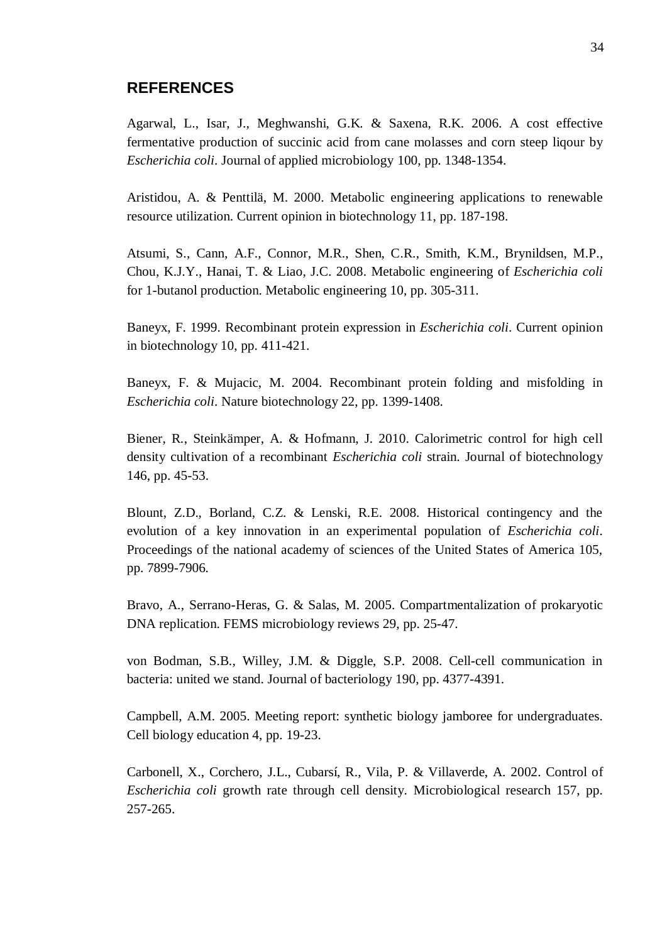#### <span id="page-39-0"></span>**REFERENCES**

Agarwal, L., Isar, J., Meghwanshi, G.K. & Saxena, R.K. 2006. A cost effective fermentative production of succinic acid from cane molasses and corn steep liqour by *Escherichia coli*. Journal of applied microbiology 100, pp. 1348-1354.

Aristidou, A. & Penttilä, M. 2000. Metabolic engineering applications to renewable resource utilization. Current opinion in biotechnology 11, pp. 187-198.

Atsumi, S., Cann, A.F., Connor, M.R., Shen, C.R., Smith, K.M., Brynildsen, M.P., Chou, K.J.Y., Hanai, T. & Liao, J.C. 2008. Metabolic engineering of *Escherichia coli* for 1-butanol production. Metabolic engineering 10, pp. 305-311.

Baneyx, F. 1999. Recombinant protein expression in *Escherichia coli*. Current opinion in biotechnology 10, pp. 411-421.

Baneyx, F. & Mujacic, M. 2004. Recombinant protein folding and misfolding in *Escherichia coli*. Nature biotechnology 22, pp. 1399-1408.

Biener, R., Steinkämper, A. & Hofmann, J. 2010. Calorimetric control for high cell density cultivation of a recombinant *Escherichia coli* strain. Journal of biotechnology 146, pp. 45-53.

Blount, Z.D., Borland, C.Z. & Lenski, R.E. 2008. Historical contingency and the evolution of a key innovation in an experimental population of *Escherichia coli*. Proceedings of the national academy of sciences of the United States of America 105, pp. 7899-7906.

Bravo, A., Serrano-Heras, G. & Salas, M. 2005. Compartmentalization of prokaryotic DNA replication. FEMS microbiology reviews 29, pp. 25-47.

von Bodman, S.B., Willey, J.M. & Diggle, S.P. 2008. Cell-cell communication in bacteria: united we stand. Journal of bacteriology 190, pp. 4377-4391.

Campbell, A.M. 2005. Meeting report: synthetic biology jamboree for undergraduates. Cell biology education 4, pp. 19-23.

Carbonell, X., Corchero, J.L., Cubarsí, R., Vila, P. & Villaverde, A. 2002. Control of *Escherichia coli* growth rate through cell density. Microbiological research 157, pp. 257-265.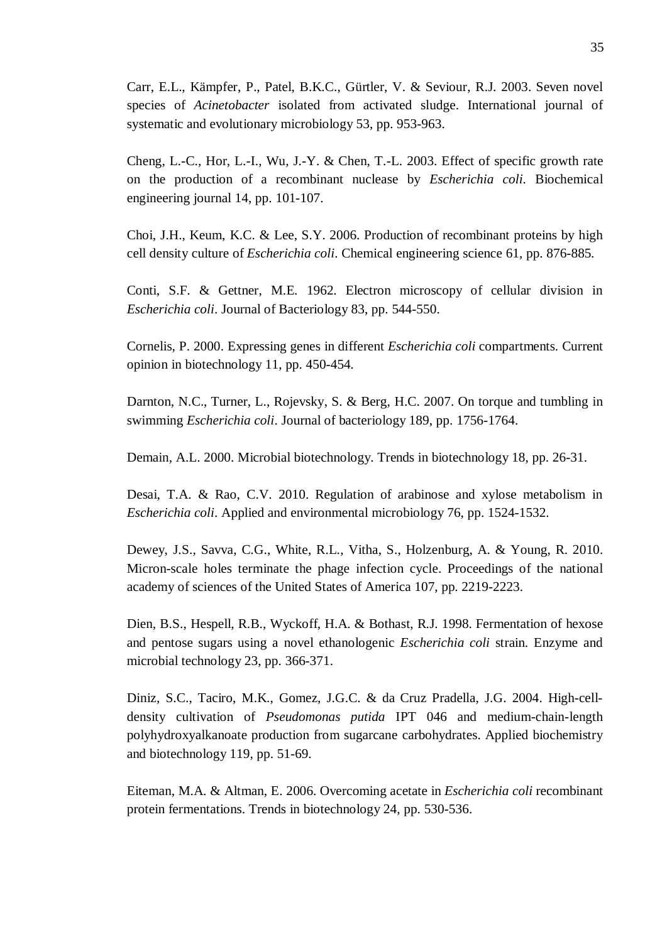Carr, E.L., Kämpfer, P., Patel, B.K.C., Gürtler, V. & Seviour, R.J. 2003. Seven novel species of *Acinetobacter* isolated from activated sludge. International journal of systematic and evolutionary microbiology 53, pp. 953-963.

Cheng, L.-C., Hor, L.-I., Wu, J.-Y. & Chen, T.-L. 2003. Effect of specific growth rate on the production of a recombinant nuclease by *Escherichia coli*. Biochemical engineering journal 14, pp. 101-107.

Choi, J.H., Keum, K.C. & Lee, S.Y. 2006. Production of recombinant proteins by high cell density culture of *Escherichia coli*. Chemical engineering science 61, pp. 876-885.

Conti, S.F. & Gettner, M.E. 1962. Electron microscopy of cellular division in *Escherichia coli*. Journal of Bacteriology 83, pp. 544-550.

Cornelis, P. 2000. Expressing genes in different *Escherichia coli* compartments. Current opinion in biotechnology 11, pp. 450-454.

Darnton, N.C., Turner, L., Rojevsky, S. & Berg, H.C. 2007. On torque and tumbling in swimming *Escherichia coli*. Journal of bacteriology 189, pp. 1756-1764.

Demain, A.L. 2000. Microbial biotechnology. Trends in biotechnology 18, pp. 26-31.

Desai, T.A. & Rao, C.V. 2010. Regulation of arabinose and xylose metabolism in *Escherichia coli*. Applied and environmental microbiology 76, pp. 1524-1532.

Dewey, J.S., Savva, C.G., White, R.L., Vitha, S., Holzenburg, A. & Young, R. 2010. Micron-scale holes terminate the phage infection cycle. Proceedings of the national academy of sciences of the United States of America 107, pp. 2219-2223.

Dien, B.S., Hespell, R.B., Wyckoff, H.A. & Bothast, R.J. 1998. Fermentation of hexose and pentose sugars using a novel ethanologenic *Escherichia coli* strain. Enzyme and microbial technology 23, pp. 366-371.

Diniz, S.C., Taciro, M.K., Gomez, J.G.C. & da Cruz Pradella, J.G. 2004. High-celldensity cultivation of *Pseudomonas putida* IPT 046 and medium-chain-length polyhydroxyalkanoate production from sugarcane carbohydrates. Applied biochemistry and biotechnology 119, pp. 51-69.

Eiteman, M.A. & Altman, E. 2006. Overcoming acetate in *Escherichia coli* recombinant protein fermentations. Trends in biotechnology 24, pp. 530-536.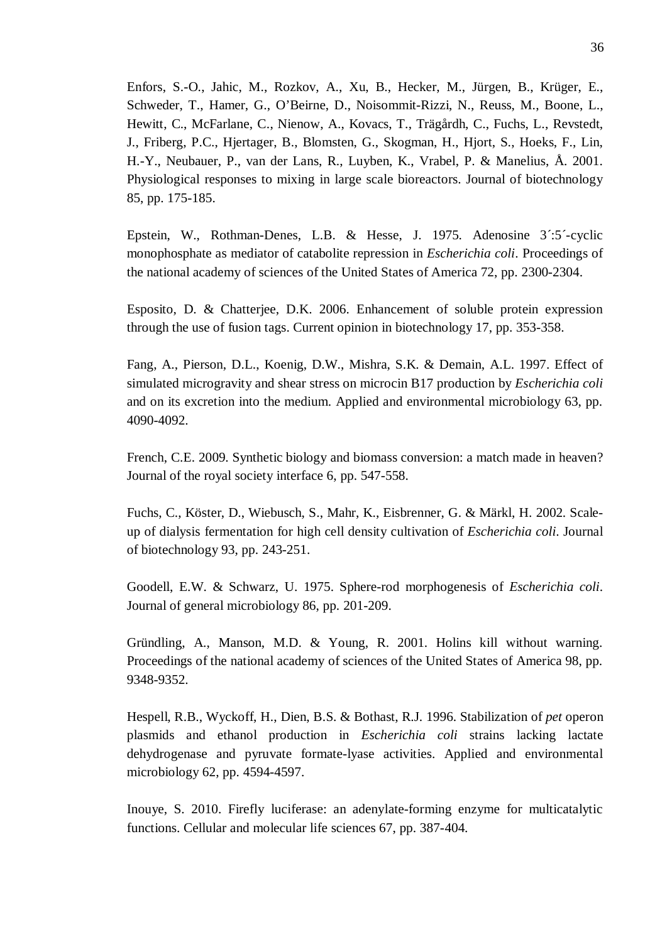Enfors, S.-O., Jahic, M., Rozkov, A., Xu, B., Hecker, M., Jürgen, B., Krüger, E., Schweder, T., Hamer, G., O'Beirne, D., Noisommit-Rizzi, N., Reuss, M., Boone, L., Hewitt, C., McFarlane, C., Nienow, A., Kovacs, T., Trägårdh, C., Fuchs, L., Revstedt, J., Friberg, P.C., Hjertager, B., Blomsten, G., Skogman, H., Hjort, S., Hoeks, F., Lin, H.-Y., Neubauer, P., van der Lans, R., Luyben, K., Vrabel, P. & Manelius, Å. 2001. Physiological responses to mixing in large scale bioreactors. Journal of biotechnology 85, pp. 175-185.

Epstein, W., Rothman-Denes, L.B. & Hesse, J. 1975. Adenosine 3´:5´-cyclic monophosphate as mediator of catabolite repression in *Escherichia coli*. Proceedings of the national academy of sciences of the United States of America 72, pp. 2300-2304.

Esposito, D. & Chatterjee, D.K. 2006. Enhancement of soluble protein expression through the use of fusion tags. Current opinion in biotechnology 17, pp. 353-358.

Fang, A., Pierson, D.L., Koenig, D.W., Mishra, S.K. & Demain, A.L. 1997. Effect of simulated microgravity and shear stress on microcin B17 production by *Escherichia coli* and on its excretion into the medium. Applied and environmental microbiology 63, pp. 4090-4092.

French, C.E. 2009. Synthetic biology and biomass conversion: a match made in heaven? Journal of the royal society interface 6, pp. 547-558.

Fuchs, C., Köster, D., Wiebusch, S., Mahr, K., Eisbrenner, G. & Märkl, H. 2002. Scaleup of dialysis fermentation for high cell density cultivation of *Escherichia coli*. Journal of biotechnology 93, pp. 243-251.

Goodell, E.W. & Schwarz, U. 1975. Sphere-rod morphogenesis of *Escherichia coli*. Journal of general microbiology 86, pp. 201-209.

Gründling, A., Manson, M.D. & Young, R. 2001. Holins kill without warning. Proceedings of the national academy of sciences of the United States of America 98, pp. 9348-9352.

Hespell, R.B., Wyckoff, H., Dien, B.S. & Bothast, R.J. 1996. Stabilization of *pet* operon plasmids and ethanol production in *Escherichia coli* strains lacking lactate dehydrogenase and pyruvate formate-lyase activities. Applied and environmental microbiology 62, pp. 4594-4597.

Inouye, S. 2010. Firefly luciferase: an adenylate-forming enzyme for multicatalytic functions. Cellular and molecular life sciences 67, pp. 387-404.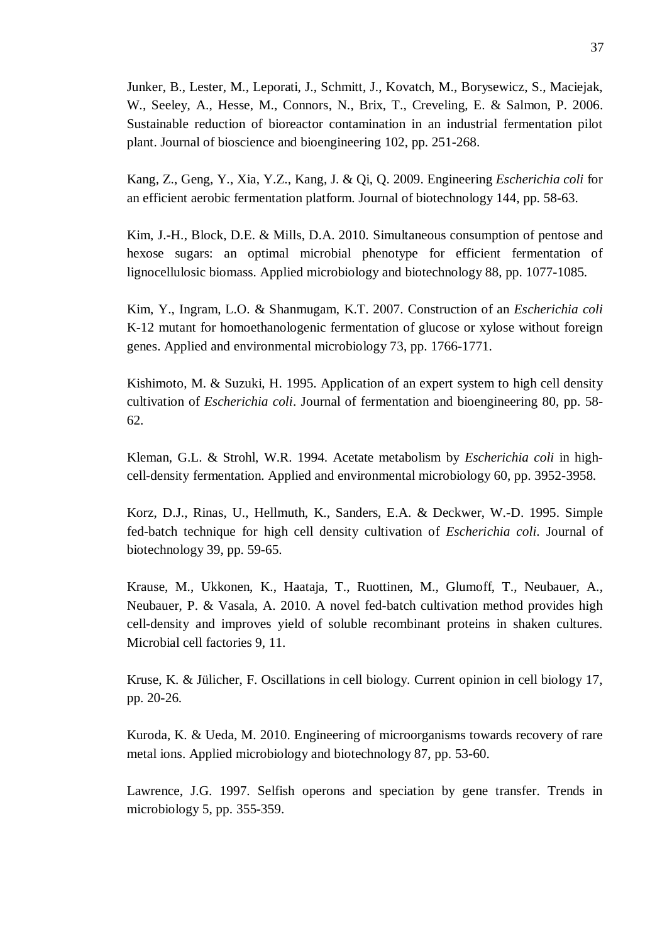Junker, B., Lester, M., Leporati, J., Schmitt, J., Kovatch, M., Borysewicz, S., Maciejak, W., Seeley, A., Hesse, M., Connors, N., Brix, T., Creveling, E. & Salmon, P. 2006. Sustainable reduction of bioreactor contamination in an industrial fermentation pilot plant. Journal of bioscience and bioengineering 102, pp. 251-268.

Kang, Z., Geng, Y., Xia, Y.Z., Kang, J. & Qi, Q. 2009. Engineering *Escherichia coli* for an efficient aerobic fermentation platform. Journal of biotechnology 144, pp. 58-63.

Kim, J.-H., Block, D.E. & Mills, D.A. 2010. Simultaneous consumption of pentose and hexose sugars: an optimal microbial phenotype for efficient fermentation of lignocellulosic biomass. Applied microbiology and biotechnology 88, pp. 1077-1085.

Kim, Y., Ingram, L.O. & Shanmugam, K.T. 2007. Construction of an *Escherichia coli* K-12 mutant for homoethanologenic fermentation of glucose or xylose without foreign genes. Applied and environmental microbiology 73, pp. 1766-1771.

Kishimoto, M. & Suzuki, H. 1995. Application of an expert system to high cell density cultivation of *Escherichia coli*. Journal of fermentation and bioengineering 80, pp. 58- 62.

Kleman, G.L. & Strohl, W.R. 1994. Acetate metabolism by *Escherichia coli* in highcell-density fermentation. Applied and environmental microbiology 60, pp. 3952-3958.

Korz, D.J., Rinas, U., Hellmuth, K., Sanders, E.A. & Deckwer, W.-D. 1995. Simple fed-batch technique for high cell density cultivation of *Escherichia coli*. Journal of biotechnology 39, pp. 59-65.

Krause, M., Ukkonen, K., Haataja, T., Ruottinen, M., Glumoff, T., Neubauer, A., Neubauer, P. & Vasala, A. 2010. A novel fed-batch cultivation method provides high cell-density and improves yield of soluble recombinant proteins in shaken cultures. Microbial cell factories 9, 11.

Kruse, K. & Jülicher, F. Oscillations in cell biology. Current opinion in cell biology 17, pp. 20-26.

Kuroda, K. & Ueda, M. 2010. Engineering of microorganisms towards recovery of rare metal ions. Applied microbiology and biotechnology 87, pp. 53-60.

Lawrence, J.G. 1997. Selfish operons and speciation by gene transfer. Trends in microbiology 5, pp. 355-359.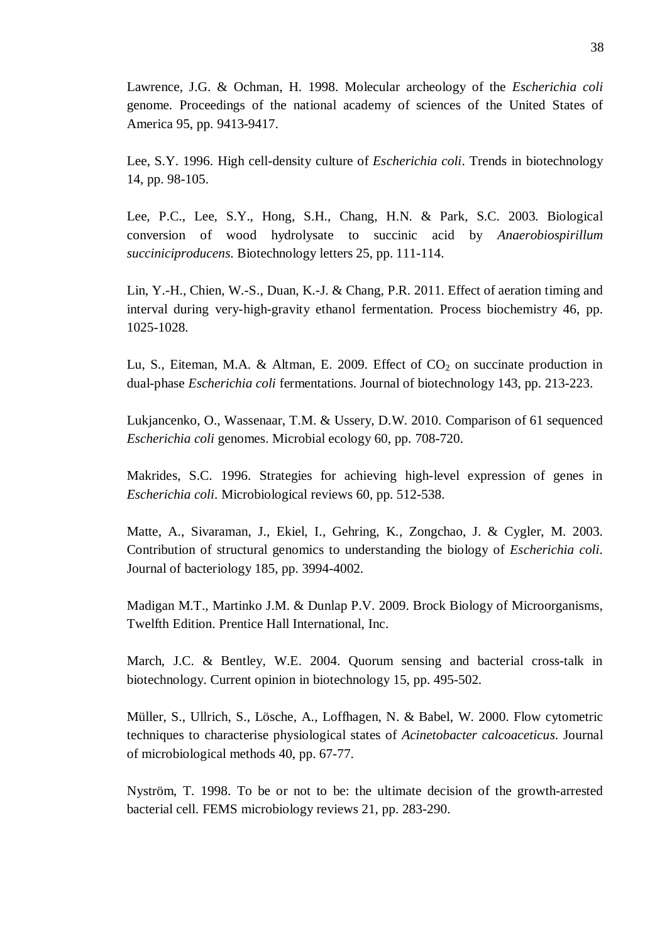Lawrence, J.G. & Ochman, H. 1998. Molecular archeology of the *Escherichia coli* genome. Proceedings of the national academy of sciences of the United States of America 95, pp. 9413-9417.

Lee, S.Y. 1996. High cell-density culture of *Escherichia coli*. Trends in biotechnology 14, pp. 98-105.

Lee, P.C., Lee, S.Y., Hong, S.H., Chang, H.N. & Park, S.C. 2003. Biological conversion of wood hydrolysate to succinic acid by *Anaerobiospirillum succiniciproducens*. Biotechnology letters 25, pp. 111-114.

Lin, Y.-H., Chien, W.-S., Duan, K.-J. & Chang, P.R. 2011. Effect of aeration timing and interval during very-high-gravity ethanol fermentation. Process biochemistry 46, pp. 1025-1028.

Lu, S., Eiteman, M.A. & Altman, E. 2009. Effect of  $CO<sub>2</sub>$  on succinate production in dual-phase *Escherichia coli* fermentations. Journal of biotechnology 143, pp. 213-223.

Lukjancenko, O., Wassenaar, T.M. & Ussery, D.W. 2010. Comparison of 61 sequenced *Escherichia coli* genomes. Microbial ecology 60, pp. 708-720.

Makrides, S.C. 1996. Strategies for achieving high-level expression of genes in *Escherichia coli*. Microbiological reviews 60, pp. 512-538.

Matte, A., Sivaraman, J., Ekiel, I., Gehring, K., Zongchao, J. & Cygler, M. 2003. Contribution of structural genomics to understanding the biology of *Escherichia coli*. Journal of bacteriology 185, pp. 3994-4002.

Madigan M.T., Martinko J.M. & Dunlap P.V. 2009. Brock Biology of Microorganisms, Twelfth Edition. Prentice Hall International, Inc.

March, J.C. & Bentley, W.E. 2004. Quorum sensing and bacterial cross-talk in biotechnology. Current opinion in biotechnology 15, pp. 495-502.

Müller, S., Ullrich, S., Lösche, A., Loffhagen, N. & Babel, W. 2000. Flow cytometric techniques to characterise physiological states of *Acinetobacter calcoaceticus*. Journal of microbiological methods 40, pp. 67-77.

Nyström, T. 1998. To be or not to be: the ultimate decision of the growth-arrested bacterial cell. FEMS microbiology reviews 21, pp. 283-290.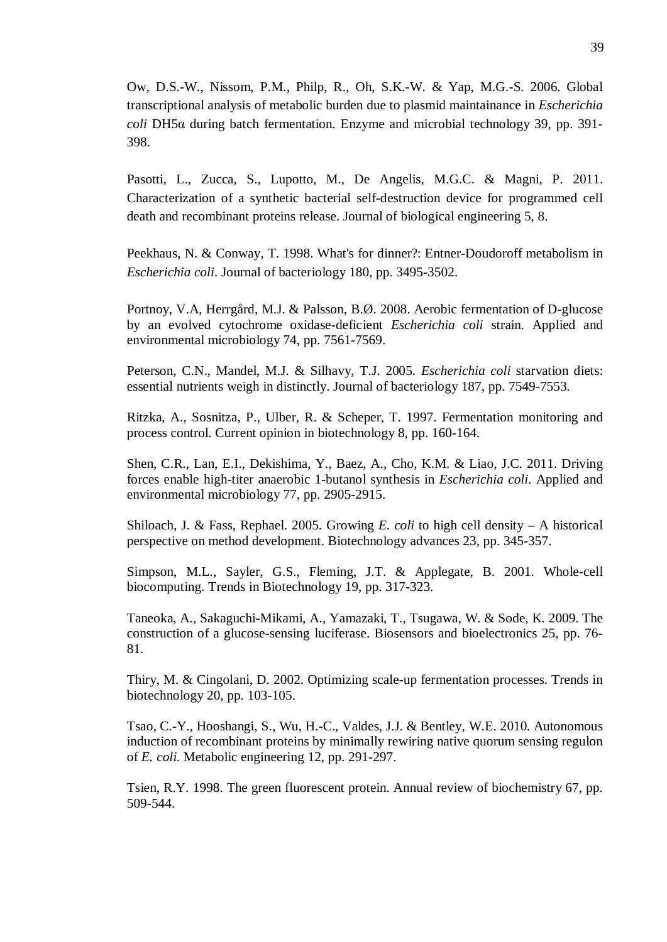Ow, D.S.-W., Nissom, P.M., Philp, R., Oh, S.K.-W. & Yap, M.G.-S. 2006. Global transcriptional analysis of metabolic burden due to plasmid maintainance in *Escherichia coli* DH5α during batch fermentation. Enzyme and microbial technology 39, pp. 391-398.

Pasotti, L., Zucca, S., Lupotto, M., De Angelis, M.G.C. & Magni, P. 2011. Characterization of a synthetic bacterial self-destruction device for programmed cell death and recombinant proteins release. Journal of biological engineering 5, 8.

Peekhaus, N. & Conway, T. 1998. What's for dinner?: Entner-Doudoroff metabolism in *Escherichia coli*. Journal of bacteriology 180, pp. 3495-3502.

Portnoy, V.A, Herrgård, M.J. & Palsson, B.Ø. 2008. Aerobic fermentation of D-glucose by an evolved cytochrome oxidase-deficient *Escherichia coli* strain. Applied and environmental microbiology 74, pp. 7561-7569.

Peterson, C.N., Mandel, M.J. & Silhavy, T.J. 2005. *Escherichia coli* starvation diets: essential nutrients weigh in distinctly. Journal of bacteriology 187, pp. 7549-7553.

Ritzka, A., Sosnitza, P., Ulber, R. & Scheper, T. 1997. Fermentation monitoring and process control. Current opinion in biotechnology 8, pp. 160-164.

Shen, C.R., Lan, E.I., Dekishima, Y., Baez, A., Cho, K.M. & Liao, J.C. 2011. Driving forces enable high-titer anaerobic 1-butanol synthesis in *Escherichia coli*. Applied and environmental microbiology 77, pp. 2905-2915.

Shiloach, J. & Fass, Rephael. 2005. Growing *E. coli* to high cell density – A historical perspective on method development. Biotechnology advances 23, pp. 345-357.

Simpson, M.L., Sayler, G.S., Fleming, J.T. & Applegate, B. 2001. Whole-cell biocomputing. Trends in Biotechnology 19, pp. 317-323.

Taneoka, A., Sakaguchi-Mikami, A., Yamazaki, T., Tsugawa, W. & Sode, K. 2009. The construction of a glucose-sensing luciferase. Biosensors and bioelectronics 25, pp. 76- 81.

Thiry, M. & Cingolani, D. 2002. Optimizing scale-up fermentation processes. Trends in biotechnology 20, pp. 103-105.

Tsao, C.-Y., Hooshangi, S., Wu, H.-C., Valdes, J.J. & Bentley, W.E. 2010. Autonomous induction of recombinant proteins by minimally rewiring native quorum sensing regulon of *E. coli*. Metabolic engineering 12, pp. 291-297.

Tsien, R.Y. 1998. The green fluorescent protein. Annual review of biochemistry 67, pp. 509-544.